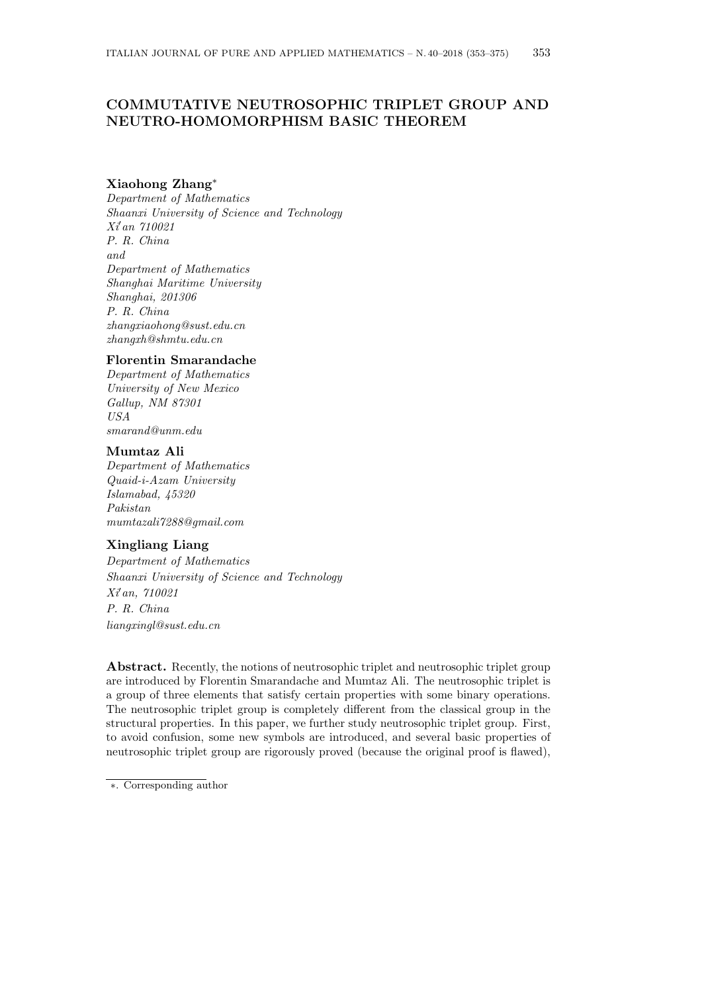# **COMMUTATIVE NEUTROSOPHIC TRIPLET GROUP AND NEUTRO-HOMOMORPHISM BASIC THEOREM**

## **Xiaohong Zhang***<sup>∗</sup>*

*Department of Mathematics Shaanxi University of Science and Technology Xi′an 710021 P. R. China and Department of Mathematics Shanghai Maritime University Shanghai, 201306 P. R. China zhangxiaohong@sust.edu.cn zhangxh@shmtu.edu.cn*

#### **Florentin Smarandache**

*Department of Mathematics University of New Mexico Gallup, NM 87301 USA smarand@unm.edu*

#### **Mumtaz Ali**

*Department of Mathematics Quaid-i-Azam University Islamabad, 45320 Pakistan mumtazali7288@gmail.com*

# **Xingliang Liang**

*Department of Mathematics Shaanxi University of Science and Technology Xi′an, 710021 P. R. China liangxingl@sust.edu.cn*

Abstract. Recently, the notions of neutrosophic triplet and neutrosophic triplet group are introduced by Florentin Smarandache and Mumtaz Ali. The neutrosophic triplet is a group of three elements that satisfy certain properties with some binary operations. The neutrosophic triplet group is completely different from the classical group in the structural properties. In this paper, we further study neutrosophic triplet group. First, to avoid confusion, some new symbols are introduced, and several basic properties of neutrosophic triplet group are rigorously proved (because the original proof is flawed),

*<sup>∗</sup>*. Corresponding author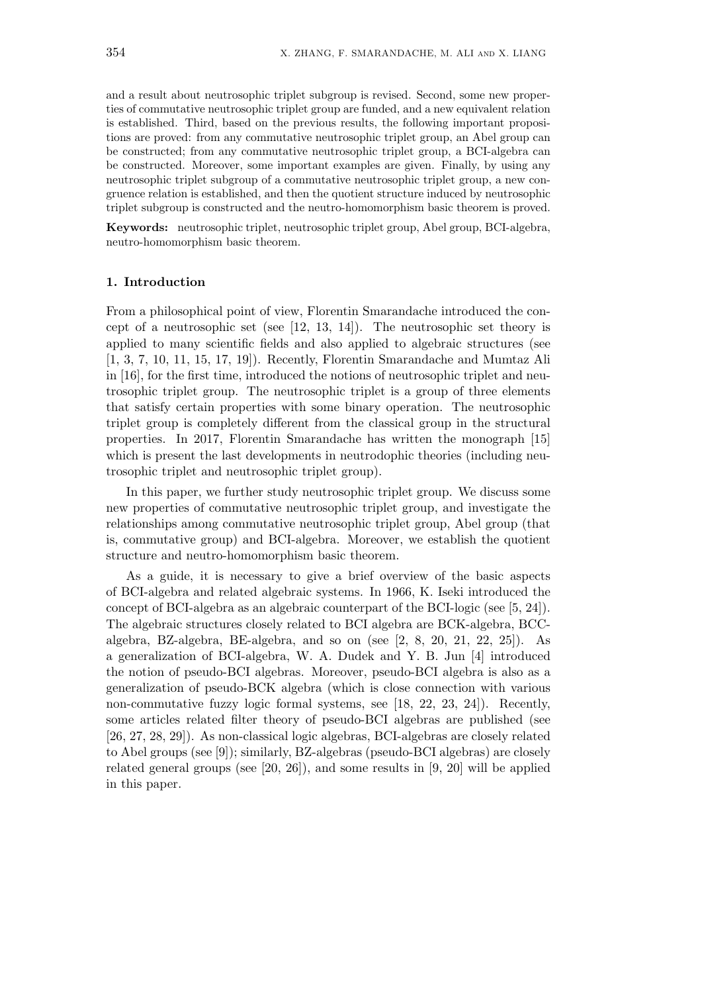and a result about neutrosophic triplet subgroup is revised. Second, some new properties of commutative neutrosophic triplet group are funded, and a new equivalent relation is established. Third, based on the previous results, the following important propositions are proved: from any commutative neutrosophic triplet group, an Abel group can be constructed; from any commutative neutrosophic triplet group, a BCI-algebra can be constructed. Moreover, some important examples are given. Finally, by using any neutrosophic triplet subgroup of a commutative neutrosophic triplet group, a new congruence relation is established, and then the quotient structure induced by neutrosophic triplet subgroup is constructed and the neutro-homomorphism basic theorem is proved.

**Keywords:** neutrosophic triplet, neutrosophic triplet group, Abel group, BCI-algebra, neutro-homomorphism basic theorem.

## **1. Introduction**

From a philosophical point of view, Florentin Smarandache introduced the concept of a neutrosophic set (see [12, 13, 14]). The neutrosophic set theory is applied to many scientific fields and also applied to algebraic structures (see [1, 3, 7, 10, 11, 15, 17, 19]). Recently, Florentin Smarandache and Mumtaz Ali in [16], for the first time, introduced the notions of neutrosophic triplet and neutrosophic triplet group. The neutrosophic triplet is a group of three elements that satisfy certain properties with some binary operation. The neutrosophic triplet group is completely different from the classical group in the structural properties. In 2017, Florentin Smarandache has written the monograph [15] which is present the last developments in neutrodophic theories (including neutrosophic triplet and neutrosophic triplet group).

In this paper, we further study neutrosophic triplet group. We discuss some new properties of commutative neutrosophic triplet group, and investigate the relationships among commutative neutrosophic triplet group, Abel group (that is, commutative group) and BCI-algebra. Moreover, we establish the quotient structure and neutro-homomorphism basic theorem.

As a guide, it is necessary to give a brief overview of the basic aspects of BCI-algebra and related algebraic systems. In 1966, K. Iseki introduced the concept of BCI-algebra as an algebraic counterpart of the BCI-logic (see [5, 24]). The algebraic structures closely related to BCI algebra are BCK-algebra, BCCalgebra, BZ-algebra, BE-algebra, and so on (see [2, 8, 20, 21, 22, 25]). As a generalization of BCI-algebra, W. A. Dudek and Y. B. Jun [4] introduced the notion of pseudo-BCI algebras. Moreover, pseudo-BCI algebra is also as a generalization of pseudo-BCK algebra (which is close connection with various non-commutative fuzzy logic formal systems, see [18, 22, 23, 24]). Recently, some articles related filter theory of pseudo-BCI algebras are published (see [26, 27, 28, 29]). As non-classical logic algebras, BCI-algebras are closely related to Abel groups (see [9]); similarly, BZ-algebras (pseudo-BCI algebras) are closely related general groups (see [20, 26]), and some results in [9, 20] will be applied in this paper.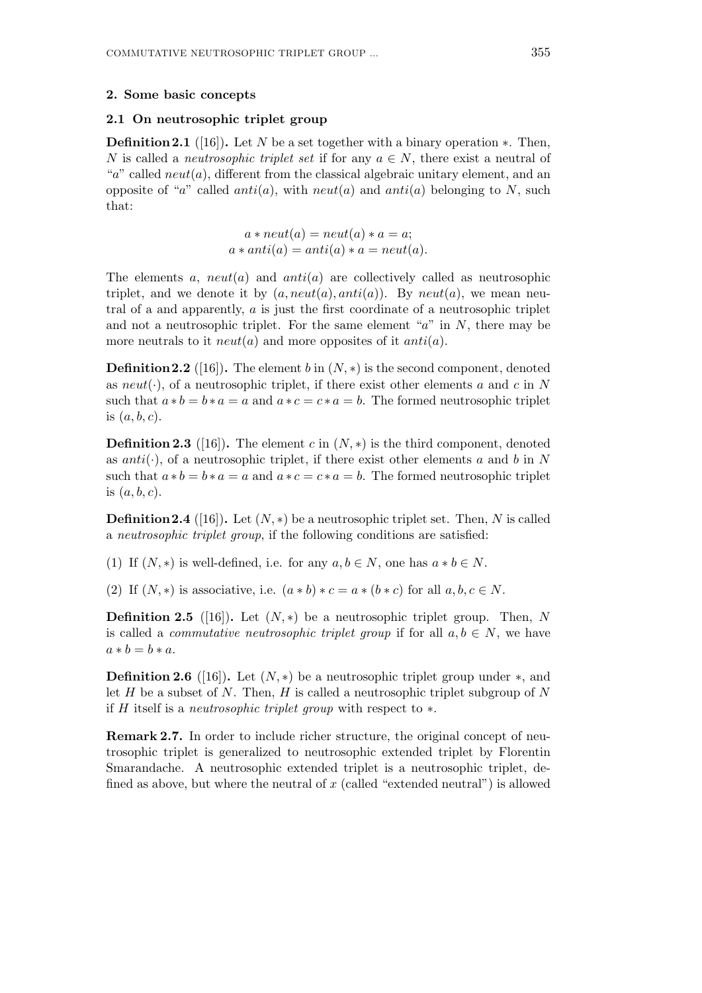## **2.1 On neutrosophic triplet group**

**Definition 2.1** ([16])**.** Let *N* be a set together with a binary operation *∗*. Then, *N* is called a *neutrosophic triplet set* if for any  $a \in N$ , there exist a neutral of " $a$ " called  $neut(a)$ , different from the classical algebraic unitary element, and an opposite of "*a*" called *anti*(*a*), with *neut*(*a*) and *anti*(*a*) belonging to *N*, such that:

$$
a * neut(a) = neut(a) * a = a;
$$
  

$$
a * anti(a) = anti(a) * a = neut(a).
$$

The elements  $a$ ,  $neut(a)$  and  $anti(a)$  are collectively called as neutrosophic triplet, and we denote it by  $(a, neut(a),anti(a))$ . By  $neut(a)$ , we mean neutral of a and apparently, *a* is just the first coordinate of a neutrosophic triplet and not a neutrosophic triplet. For the same element "*a*" in *N*, there may be more neutrals to it  $neut(a)$  and more opposites of it  $anti(a)$ .

**Definition 2.2** ([16]). The element *b* in  $(N, *)$  is the second component, denoted as *neut*(*·*), of a neutrosophic triplet, if there exist other elements *a* and *c* in *N* such that  $a * b = b * a = a$  and  $a * c = c * a = b$ . The formed neutrosophic triplet is (*a, b, c*).

**Definition 2.3** ([16]). The element  $c$  in  $(N, *)$  is the third component, denoted as *anti*(*·*), of a neutrosophic triplet, if there exist other elements *a* and *b* in *N* such that  $a * b = b * a = a$  and  $a * c = c * a = b$ . The formed neutrosophic triplet is (*a, b, c*).

**Definition 2.4** ([16]). Let  $(N, *)$  be a neutrosophic triplet set. Then, N is called a *neutrosophic triplet group*, if the following conditions are satisfied:

(1) If  $(N, *)$  is well-defined, i.e. for any  $a, b \in N$ , one has  $a * b \in N$ .

(2) If  $(N, *)$  is associative, i.e.  $(a * b) * c = a * (b * c)$  for all  $a, b, c \in N$ .

**Definition 2.5** ([16]). Let  $(N, *)$  be a neutrosophic triplet group. Then, N is called a *commutative neutrosophic triplet group* if for all  $a, b \in N$ , we have  $a * b = b * a$ .

**Definition 2.6** ([16]). Let  $(N, *)$  be a neutrosophic triplet group under  $*$ , and let *H* be a subset of *N*. Then, *H* is called a neutrosophic triplet subgroup of *N* if *H* itself is a *neutrosophic triplet group* with respect to *∗*.

**Remark 2.7.** In order to include richer structure, the original concept of neutrosophic triplet is generalized to neutrosophic extended triplet by Florentin Smarandache. A neutrosophic extended triplet is a neutrosophic triplet, defined as above, but where the neutral of *x* (called "extended neutral") is allowed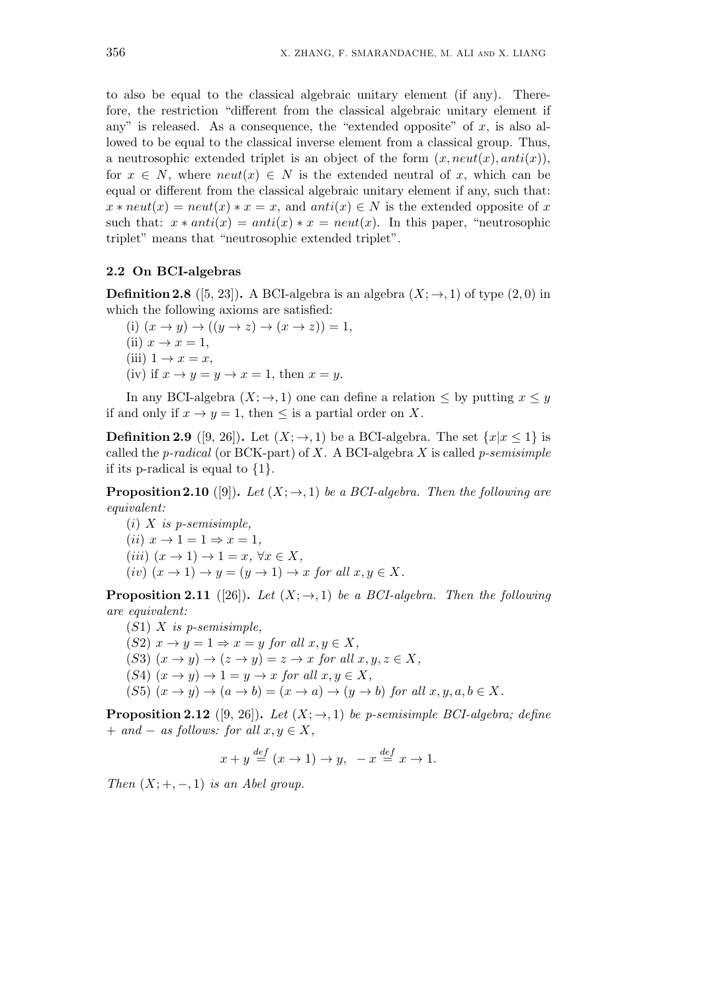to also be equal to the classical algebraic unitary element (if any). Therefore, the restriction "different from the classical algebraic unitary element if any" is released. As a consequence, the "extended opposite" of  $x$ , is also allowed to be equal to the classical inverse element from a classical group. Thus, a neutrosophic extended triplet is an object of the form  $(x, neut(x), anti(x)),$ for  $x \in N$ , where  $neut(x) \in N$  is the extended neutral of x, which can be equal or different from the classical algebraic unitary element if any, such that:  $x * \textit{neut}(x) = \textit{neut}(x) * x = x$ , and  $\textit{anti}(x) \in N$  is the extended opposite of *x* such that:  $x * anti(x) = anti(x) * x = neut(x)$ . In this paper, "neutrosophic triplet" means that "neutrosophic extended triplet".

# **2.2 On BCI-algebras**

**Definition 2.8** ([5, 23]). A BCI-algebra is an algebra  $(X; \rightarrow, 1)$  of type (2, 0) in which the following axioms are satisfied:

 $(i)$   $(x \rightarrow y) \rightarrow ((y \rightarrow z) \rightarrow (x \rightarrow z)) = 1$ ,  $(iii)$   $x \rightarrow x = 1$ , (iii)  $1 \rightarrow x = x$ , (iv) if  $x \to y = y \to x = 1$ , then  $x = y$ .

In any BCI-algebra  $(X; \to, 1)$  one can define a relation  $\leq$  by putting  $x \leq y$ if and only if  $x \to y = 1$ , then  $\leq$  is a partial order on X.

**Definition 2.9** ([9, 26]). Let  $(X; \rightarrow, 1)$  be a BCI-algebra. The set  $\{x | x \leq 1\}$  is called the *p-radical* (or BCK-part) of *X*. A BCI-algebra *X* is called *p-semisimple* if its p-radical is equal to *{*1*}*.

**Proposition 2.10** ([9]). Let  $(X; \rightarrow, 1)$  be a BCI-algebra. Then the following are *equivalent:*

(*i*) *X is p-semisimple,*  $(iii)$   $x \rightarrow 1 = 1 \Rightarrow x = 1$ ,  $(iii)$   $(x \rightarrow 1) \rightarrow 1 = x, \forall x \in X$ ,  $(iv)$   $(x \to 1) \to y = (y \to 1) \to x$  *for all*  $x, y \in X$ *.* 

**Proposition 2.11** ([26]). Let  $(X; \rightarrow, 1)$  be a BCI-algebra. Then the following *are equivalent:*

- (*S*1) *X is p-semisimple,*
- $(S2)$   $x \rightarrow y = 1 \Rightarrow x = y$  *for all*  $x, y \in X$ ,
- $(S3)$   $(x \rightarrow y) \rightarrow (z \rightarrow y) = z \rightarrow x$  *for all*  $x, y, z \in X$ ,
- $(S4)$   $(x \rightarrow y) \rightarrow 1 = y \rightarrow x$  *for all*  $x, y \in X$ ,
- $(S5)(x \rightarrow y) \rightarrow (a \rightarrow b) = (x \rightarrow a) \rightarrow (y \rightarrow b)$  *for all*  $x, y, a, b \in X$ .

**Proposition 2.12** ([9, 26]). *Let*  $(X; \rightarrow, 1)$  *be p-semisimple BCI-algebra; define*  $+$  *and*  $-$  *as follows: for all*  $x, y \in X$ ,

$$
x + y \stackrel{def}{=} (x \to 1) \to y, \quad -x \stackrel{def}{=} x \to 1.
$$

*Then*  $(X; +, -, 1)$  *is an Abel group.*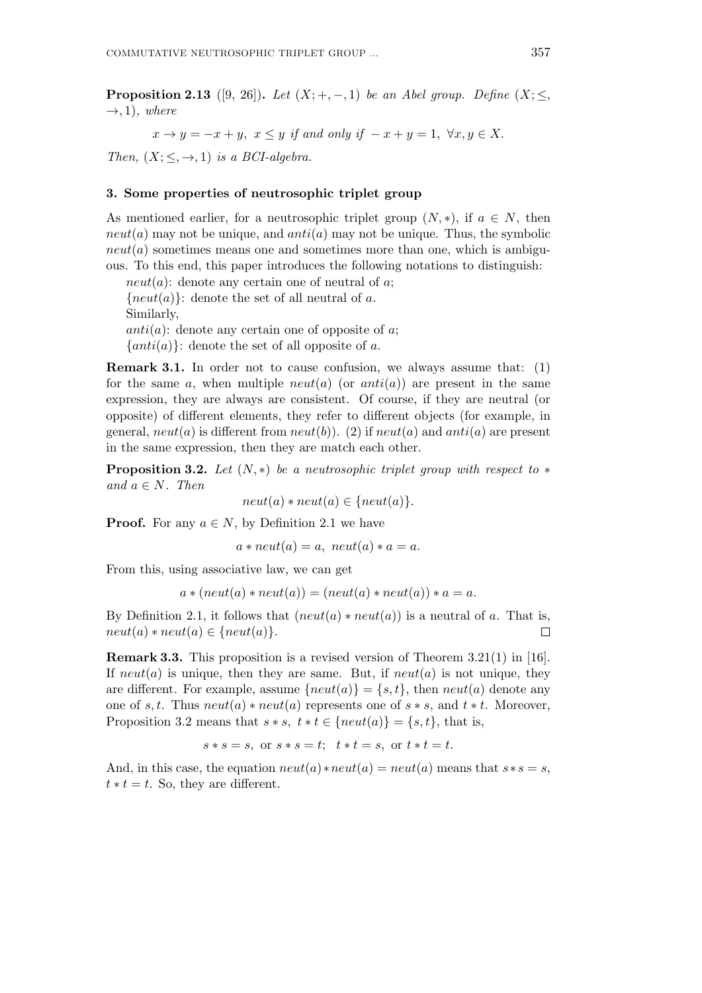**Proposition 2.13** ([9, 26]). *Let*  $(X; +, -, 1)$  *be an Abel group. Define*  $(X; \leq,$  $\rightarrow$ , 1)*, where* 

 $x \rightarrow y = -x + y$ ,  $x \leq y$  *if and only if*  $-x + y = 1$ ,  $\forall x, y \in X$ .

*Then,*  $(X; \leq, \rightarrow, 1)$  *is a BCI-algebra.* 

## **3. Some properties of neutrosophic triplet group**

As mentioned earlier, for a neutrosophic triplet group  $(N, *)$ , if  $a \in N$ , then *neut*(*a*) may not be unique, and *anti*(*a*) may not be unique. Thus, the symbolic  $neut(a)$  sometimes means one and sometimes more than one, which is ambiguous. To this end, this paper introduces the following notations to distinguish:

 $neut(a)$ : denote any certain one of neutral of *a*;  ${neut(a)}$ : denote the set of all neutral of *a*. Similarly, *anti*(*a*): denote any certain one of opposite of *a*;  $\{anti(a)\}$ : denote the set of all opposite of *a*.

**Remark 3.1.** In order not to cause confusion, we always assume that: (1) for the same  $a$ , when multiple  $neut(a)$  (or  $anti(a)$ ) are present in the same expression, they are always are consistent. Of course, if they are neutral (or opposite) of different elements, they refer to different objects (for example, in general,  $neut(a)$  is different from  $neut(b)$ ). (2) if  $neut(a)$  and  $anti(a)$  are present in the same expression, then they are match each other.

**Proposition 3.2.** *Let* (*N, ∗*) *be a neutrosophic triplet group with respect to ∗*  $and \ a \in N$ *. Then* 

$$
neut(a) * neut(a) \in \{neut(a)\}.
$$

**Proof.** For any  $a \in N$ , by Definition 2.1 we have

 $a * neut(a) = a$ ,  $neut(a) * a = a$ .

From this, using associative law, we can get

$$
a * (neut(a) * neut(a)) = (neut(a) * neut(a)) * a = a.
$$

By Definition 2.1, it follows that  $(neut(a) * neut(a))$  is a neutral of *a*. That is,  $neut(a) * neut(a) \in \{neut(a)\}.$  $\Box$ 

**Remark 3.3.** This proposition is a revised version of Theorem 3.21(1) in [16]. If  $neut(a)$  is unique, then they are same. But, if  $neut(a)$  is not unique, they are different. For example, assume  $\{neut(a)\} = \{s, t\}$ , then  $neut(a)$  denote any one of *s*, *t*. Thus  $neut(a) * neut(a)$  represents one of  $s * s$ , and  $t * t$ . Moreover, Proposition 3.2 means that  $s * s$ ,  $t * t \in \{neut(a)\} = \{s, t\}$ , that is,

$$
s * s = s, \text{ or } s * s = t; \quad t * t = s, \text{ or } t * t = t.
$$

And, in this case, the equation  $neut(a) *neut(a) = neut(a)$  means that  $s * s = s$ ,  $t * t = t$ . So, they are different.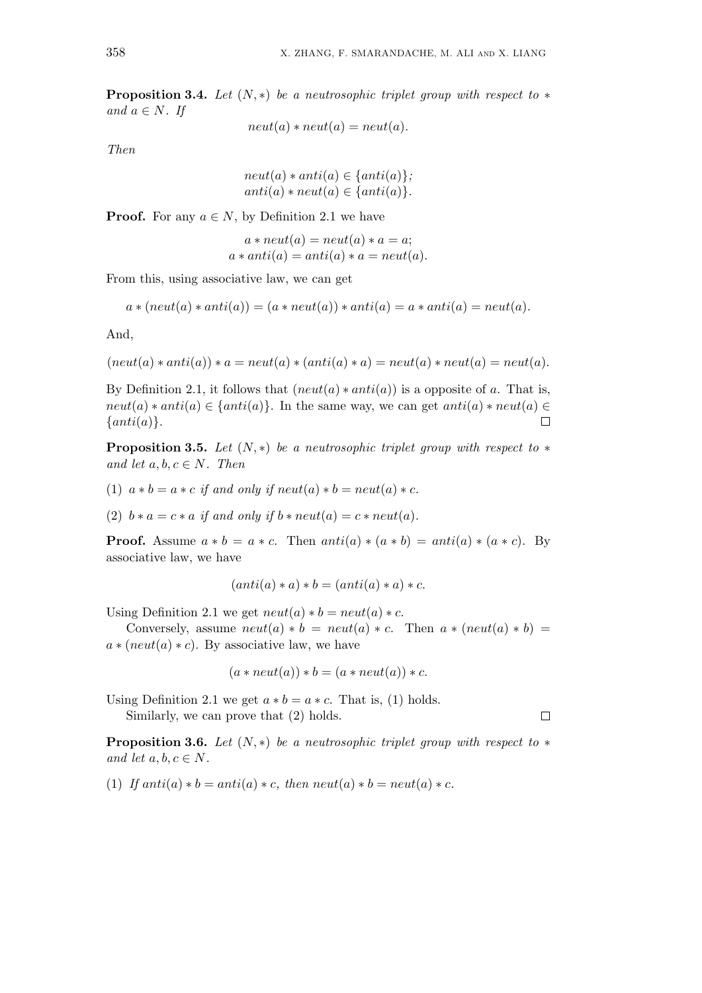**Proposition 3.4.** *Let* (*N, ∗*) *be a neutrosophic triplet group with respect to ∗ and*  $a \in N$ *. If* 

 $neut(a) * neut(a) = neut(a).$ 

*Then*

$$
neut(a) * anti(a) \in \{anti(a)\};
$$
  

$$
anti(a) * neut(a) \in \{anti(a)\}.
$$

**Proof.** For any  $a \in N$ , by Definition 2.1 we have

 $a * neut(a) = neut(a) * a = a;$  $a * anti(a) = anti(a) * a = neut(a).$ 

From this, using associative law, we can get

$$
a * (neut(a) * anti(a)) = (a * neut(a)) * anti(a) = a * anti(a) = neut(a).
$$

And,

$$
(neut(a)*anti(a))*a = neut(a)*(anti(a)*a) = neut(a)*neut(a) = neut(a).
$$

By Definition 2.1, it follows that  $(neut(a) * anti(a))$  is a opposite of *a*. That is,  $neut(a) * anti(a) \in \{anti(a)\}$ . In the same way, we can get  $anti(a) * neut(a) \in$  $\Box$ *{anti*(*a*)*}*.

**Proposition 3.5.** *Let*  $(N, *)$  *be a neutrosophic triplet group with respect to*  $*$ *and let*  $a, b, c \in N$ *. Then* 

(1)  $a * b = a * c$  *if and only if neut*(*a*)  $* b = newt(a) * c$ .

(2)  $b * a = c * a$  *if and only if*  $b * neut(a) = c * neut(a)$ *.* 

**Proof.** Assume  $a * b = a * c$ . Then  $anti(a) * (a * b) = anti(a) * (a * c)$ . By associative law, we have

$$
(anti(a) * a) * b = (anti(a) * a) * c.
$$

Using Definition 2.1 we get  $neut(a) * b = neut(a) * c$ .

Conversely, assume  $neut(a) * b = neut(a) * c$ . Then  $a * (neut(a) * b) =$  $a * (neut(a) * c)$ . By associative law, we have

$$
(a * \text{neut}(a)) * b = (a * \text{neut}(a)) * c.
$$

Using Definition 2.1 we get  $a * b = a * c$ . That is, (1) holds. Similarly, we can prove that (2) holds.

**Proposition 3.6.** *Let*  $(N, *)$  *be a neutrosophic triplet group with respect to*  $*$ *and let*  $a, b, c \in N$ .

(1) If  $anti(a) * b = anti(a) * c$ , then  $neut(a) * b = neut(a) * c$ .

 $\Box$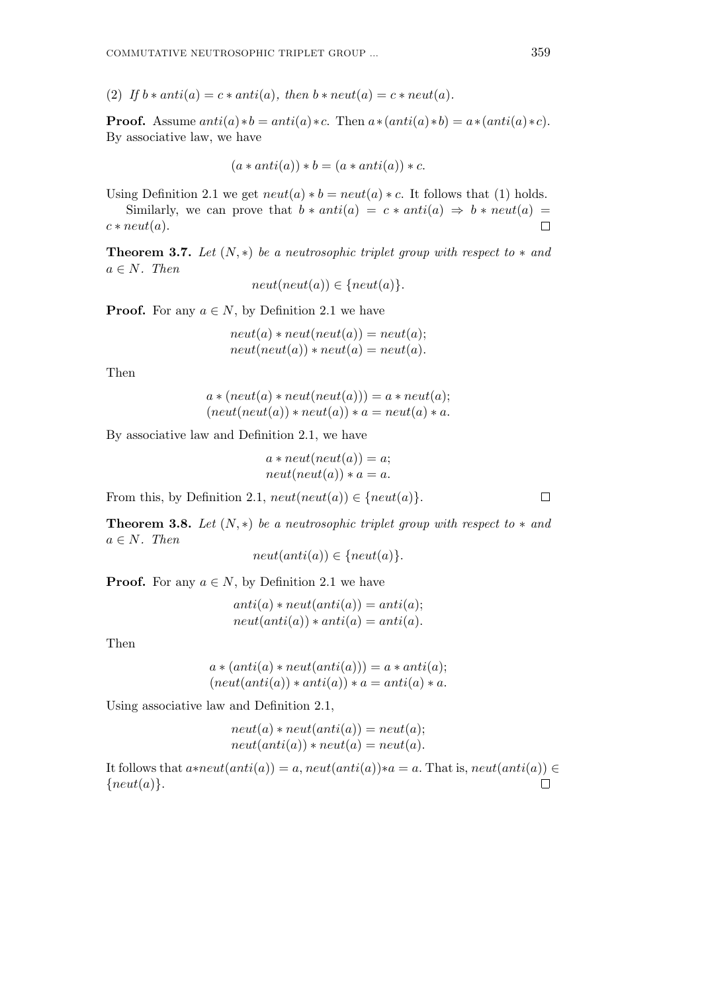(2) If  $b * anti(a) = c * anti(a)$ , then  $b * neut(a) = c * neut(a)$ .

**Proof.** Assume  $anti(a)*b = anti(a)*c$ . Then  $a*(anti(a)*b) = a*(anti(a)*c)$ . By associative law, we have

$$
(a * anti(a)) * b = (a * anti(a)) * c.
$$

Using Definition 2.1 we get  $neut(a) * b = neut(a) * c$ . It follows that (1) holds.

Similarly, we can prove that  $b * anti(a) = c * anti(a) \Rightarrow b * neut(a) =$  $c * \textit{neut}(a)$ .  $\Box$ 

**Theorem 3.7.** Let  $(N, *)$  be a neutrosophic triplet group with respect to  $*$  and  $a \in N$ *. Then* 

$$
neut(new(a)) \in \{neut(a)\}.
$$

**Proof.** For any  $a \in N$ , by Definition 2.1 we have

 $neut(a) * neut(new(a)) = neut(a);$  $neut(new(a)) * neut(a) = neut(a).$ 

Then

$$
a * (neut(a) * neut(new(a))) = a * neut(a);
$$
  

$$
(neut(new(a)) * neut(a)) * a = neut(a) * a.
$$

By associative law and Definition 2.1, we have

 $a * \textit{neut}(\textit{neut}(a)) = a;$  $neut(new(a)) * a = a.$ 

From this, by Definition 2.1,  $neut(new(a)) \in \{neut(a)\}.$ 

**Theorem 3.8.** Let  $(N, *)$  be a neutrosophic triplet group with respect to  $*$  and  $a \in N$ *. Then* 

$$
neut(anti(a)) \in \{neut(a)\}.
$$

**Proof.** For any  $a \in N$ , by Definition 2.1 we have

 $anti(a) * neut(anti(a)) = anti(a);$  $neut(anti(a)) * anti(a) = anti(a).$ 

Then

$$
a * (anti(a) * neut(anti(a))) = a * anti(a);
$$
  

$$
(neut(anti(a)) * anti(a)) * a = anti(a) * a.
$$

Using associative law and Definition 2.1,

$$
neut(a) * neut(anti(a)) = neut(a);
$$
  

$$
neut(anti(a)) * neut(a) = neut(a).
$$

It follows that  $a * \textit{neut}(anti(a)) = a$ ,  $\textit{neut}(anti(a)) * a = a$ . That is,  $\textit{neut}(anti(a)) \in$ *{neut*(*a*)*}*. $\Box$ 

 $\Box$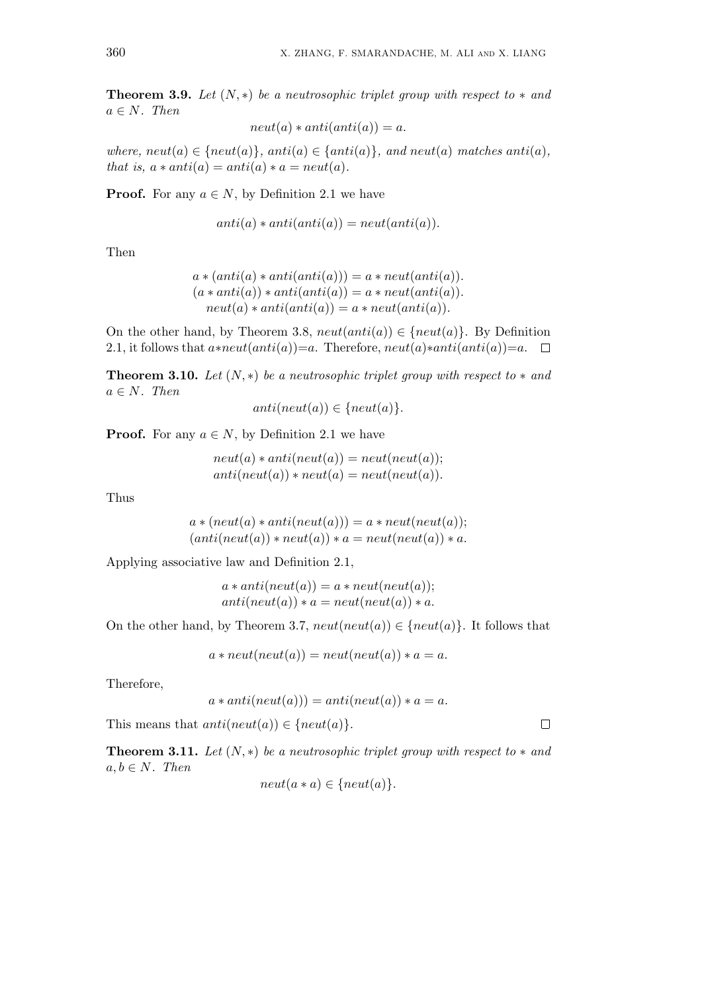**Theorem 3.9.** Let  $(N, *)$  be a neutrosophic triplet group with respect to  $*$  and  $a \in N$ *. Then* 

 $neut(a) * anti(anti(a)) = a.$ 

*where, neut*(*a*) *∈ {neut*(*a*)*}, anti*(*a*) *∈ {anti*(*a*)*}, and neut*(*a*) *matches anti*(*a*)*, that is,*  $a * anti(a) = anti(a) * a = neut(a)$ .

**Proof.** For any  $a \in N$ , by Definition 2.1 we have

$$
anti(a) * anti(anti(a)) = neutr(int(a)).
$$

Then

$$
a * (anti(a) * anti(anti(a))) = a * neut(anti(a)).
$$
  

$$
(a * anti(a)) * anti(anti(a)) = a * neut(anti(a)).
$$
  

$$
neut(a) * anti(anti(a)) = a * neut(anti(a)).
$$

On the other hand, by Theorem 3.8,  $neut(anti(a)) \in \{neut(a)\}\$ . By Definition 2.1, it follows that  $a * \textit{neut}(\textit{anti}(a)) = a$ . Therefore,  $\textit{neut}(a) * \textit{anti}(\textit{anti}(a)) = a$ .  $\Box$ 

**Theorem 3.10.** *Let*  $(N, *)$  *be a neutrosophic triplet group with respect to*  $*$  *and*  $a \in N$ *. Then* 

$$
anti(neut(a)) \in \{neut(a)\}.
$$

**Proof.** For any  $a \in N$ , by Definition 2.1 we have

 $neut(a) * anti(neut(a)) = neut(new(a));$  $anti(newt(a)) * neut(a) = neut(newt(a)).$ 

Thus

 $a * (neut(a) * anti(neut(a))) = a * neut(new(a));$  $(\text{anti}(\text{neut}(a)) * \text{neut}(a)) * a = \text{neut}(\text{neut}(a)) * a.$ 

Applying associative law and Definition 2.1,

 $a * anti(neut(a)) = a * neut(neut(a));$  $anti(ncut(a)) * a = neut(ncut(a)) * a.$ 

On the other hand, by Theorem 3.7,  $neut(new(a)) \in \{neut(a)\}$ . It follows that

 $a * neut(new(a)) = neut(new(a)) * a = a.$ 

Therefore,

$$
a * anti(neut(a))) = anti(neut(a)) * a = a.
$$

This means that  $anti(neut(a)) \in \{neut(a)\}.$ 

**Theorem 3.11.** *Let*  $(N, *)$  *be a neutrosophic triplet group with respect to*  $*$  *and*  $a, b \in N$ *. Then* 

$$
neut(a*a) \in \{neut(a)\}.
$$

$$
\Box
$$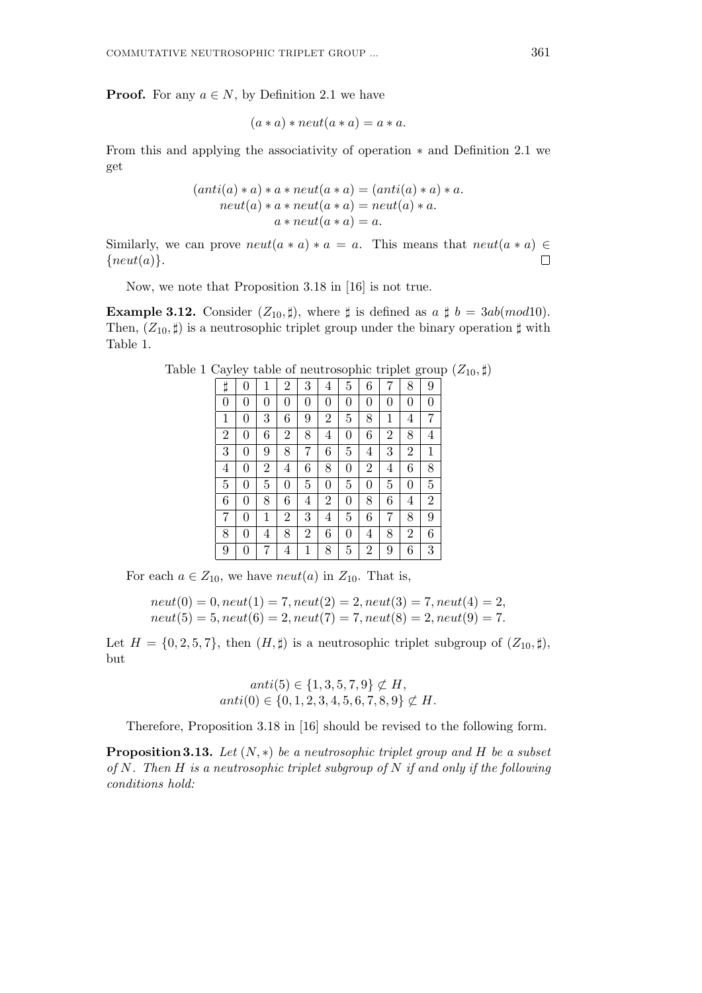**Proof.** For any  $a \in N$ , by Definition 2.1 we have

$$
(a * a) * \textit{neut}(a * a) = a * a.
$$

From this and applying the associativity of operation *∗* and Definition 2.1 we get

$$
(anti(a) * a) * a * neut(a * a) = (anti(a) * a) * a.
$$

$$
neut(a) * a * neut(a * a) = neut(a) * a.
$$

$$
a * neut(a * a) = a.
$$

Similarly, we can prove  $neut(a * a) * a = a$ . This means that  $neut(a * a) \in$ *{neut*(*a*)*}*.  $\Box$ 

Now, we note that Proposition 3.18 in [16] is not true.

**Example 3.12.** Consider  $(Z_{10}, \sharp)$ , where  $\sharp$  is defined as  $a \sharp b = 3ab (mod 10)$ . Then,  $(Z_{10}, \sharp)$  is a neutrosophic triplet group under the binary operation  $\sharp$  with Table 1.

Table 1 Cayley table of neutrosophic triplet group  $(Z_{10}, \sharp)$ 

| Ħ              | 0 | 1              | $\overline{2}$ | 3              | 4              | 5              | 6              | 7              | 8              | 9              |
|----------------|---|----------------|----------------|----------------|----------------|----------------|----------------|----------------|----------------|----------------|
| $\overline{0}$ | 0 | 0              | 0              | 0              | $\overline{0}$ | 0              | $\overline{0}$ | 0              | 0              | $\overline{0}$ |
| 1              | 0 | 3              | 6              | 9              | $\overline{2}$ | 5              | 8              | 1              | 4              | 7              |
| $\overline{2}$ | 0 | 6              | $\overline{2}$ | 8              | $\overline{4}$ | 0              | 6              | $\overline{2}$ | 8              | $\overline{4}$ |
| 3              | 0 | 9              | 8              | 7              | 6              | 5              | 4              | 3              | $\overline{2}$ | 1              |
| 4              | 0 | $\overline{2}$ | 4              | 6              | 8              | 0              | $\overline{2}$ | 4              | 6              | 8              |
| 5              | 0 | 5              | 0              | 5              | $\overline{0}$ | $\overline{5}$ | $\overline{0}$ | 5              | 0              | 5              |
| 6              | 0 | 8              | 6              | 4              | $\overline{2}$ | 0              | 8              | 6              | 4              | $\overline{2}$ |
| 7              | 0 | 1              | $\overline{2}$ | 3              | 4              | 5              | 6              | 7              | 8              | 9              |
| 8              | 0 | 4              | 8              | $\overline{2}$ | 6              | 0              | 4              | 8              | $\overline{2}$ | 6              |
| 9              | 0 | 7              | $\overline{4}$ | 1              | 8              | 5              | $\overline{2}$ | 9              | 6              | 3              |

For each  $a \in Z_{10}$ , we have *neut*(*a*) in  $Z_{10}$ . That is,

$$
neut(0) = 0
$$
,  $neut(1) = 7$ ,  $neut(2) = 2$ ,  $neut(3) = 7$ ,  $neut(4) = 2$ ,  
\n $neut(5) = 5$ ,  $neut(6) = 2$ ,  $neut(7) = 7$ ,  $neut(8) = 2$ ,  $neut(9) = 7$ .

Let  $H = \{0, 2, 5, 7\}$ , then  $(H, \sharp)$  is a neutrosophic triplet subgroup of  $(Z_{10}, \sharp)$ , but

$$
anti(5) \in \{1, 3, 5, 7, 9\} \not\subset H,
$$
  

$$
anti(0) \in \{0, 1, 2, 3, 4, 5, 6, 7, 8, 9\} \not\subset H.
$$

Therefore, Proposition 3.18 in [16] should be revised to the following form.

**Proposition 3.13.** *Let* (*N, ∗*) *be a neutrosophic triplet group and H be a subset of N. Then H is a neutrosophic triplet subgroup of N if and only if the following conditions hold:*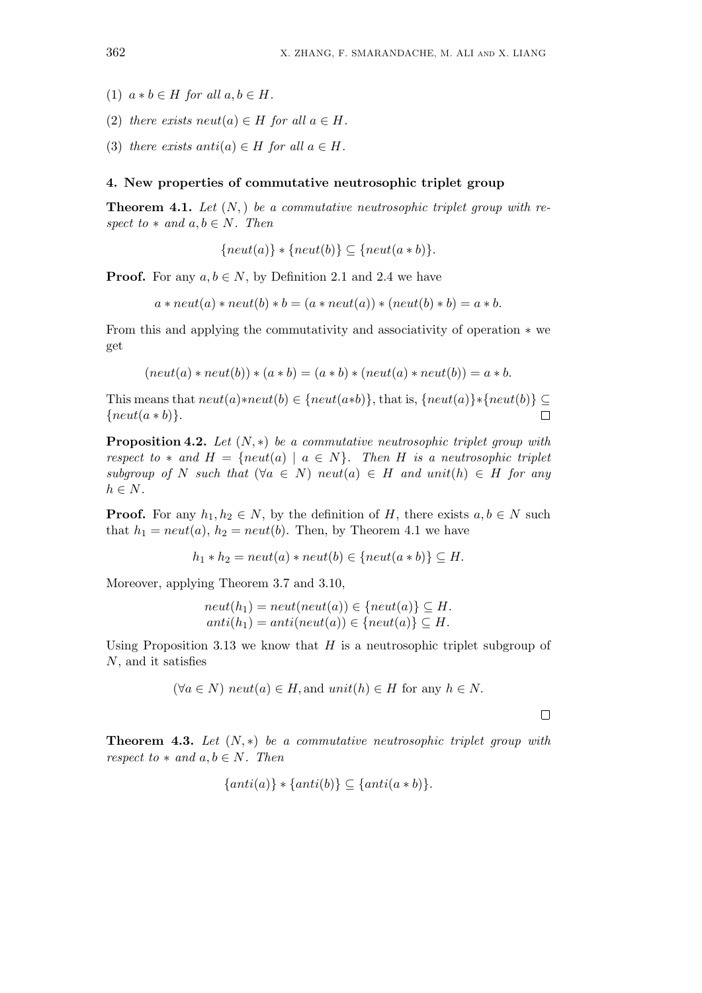- $(1)$   $a * b \in H$  *for all*  $a, b \in H$ *.*
- (2) *there exists neut*( $a$ )  $\in$  *H for all*  $a \in$  *H*.
- (3) *there exists anti* $(a) \in H$  *for all*  $a \in H$ *.*

#### **4. New properties of commutative neutrosophic triplet group**

**Theorem 4.1.** *Let* (*N,*) *be a commutative neutrosophic triplet group with respect to*  $*$  *and*  $a, b \in N$ *. Then* 

$$
\{neut(a)\} * \{neut(b)\} \subseteq \{neut(a * b)\}.
$$

**Proof.** For any  $a, b \in N$ , by Definition 2.1 and 2.4 we have

 $a * \text{neut}(a) * \text{neut}(b) * b = (a * \text{neut}(a)) * (\text{neut}(b) * b) = a * b.$ 

From this and applying the commutativity and associativity of operation *∗* we get

$$
(neut(a) * neut(b)) * (a * b) = (a * b) * (neut(a) * neut(b)) = a * b.
$$

This means that  $neut(a)*neut(b) \in \{neut(a*b)\}$ , that is,  $\{neut(a)\}*\{neut(b)\} \subset$ *{neut*(*a ∗ b*)*}*.  $\Box$ 

**Proposition 4.2.** *Let* (*N, ∗*) *be a commutative neutrosophic triplet group with respect to*  $*$  *and*  $H = \{neut(a) | a \in N\}$ *. Then H is a neutrosophic triplet*  $subgroup of N such that (\forall a \in N) neut(a) \in H and unit(h) \in H for any$  $h \in N$ *.* 

**Proof.** For any  $h_1, h_2 \in N$ , by the definition of *H*, there exists  $a, b \in N$  such that  $h_1 = neutr(a), h_2 = neutr(b)$ . Then, by Theorem 4.1 we have

$$
h_1 * h_2 = neut(a) * neut(b) \in \{neut(a * b)\} \subseteq H.
$$

Moreover, applying Theorem 3.7 and 3.10,

$$
neut(h_1) = neut(new(a)) \in \{neut(a)\} \subseteq H.
$$
  

$$
anti(h_1) = anti(new(a)) \in \{neut(a)\} \subseteq H.
$$

Using Proposition 3.13 we know that *H* is a neutrosophic triplet subgroup of *N*, and it satisfies

$$
(\forall a \in N)
$$
  $neut(a) \in H$ , and  $unit(h) \in H$  for any  $h \in N$ .

 $\Box$ 

**Theorem 4.3.** *Let* (*N, ∗*) *be a commutative neutrosophic triplet group with respect to*  $*$  *and*  $a, b \in N$ *. Then* 

$$
\{anti(a)\} * \{anti(b)\} \subseteq \{anti(a * b)\}.
$$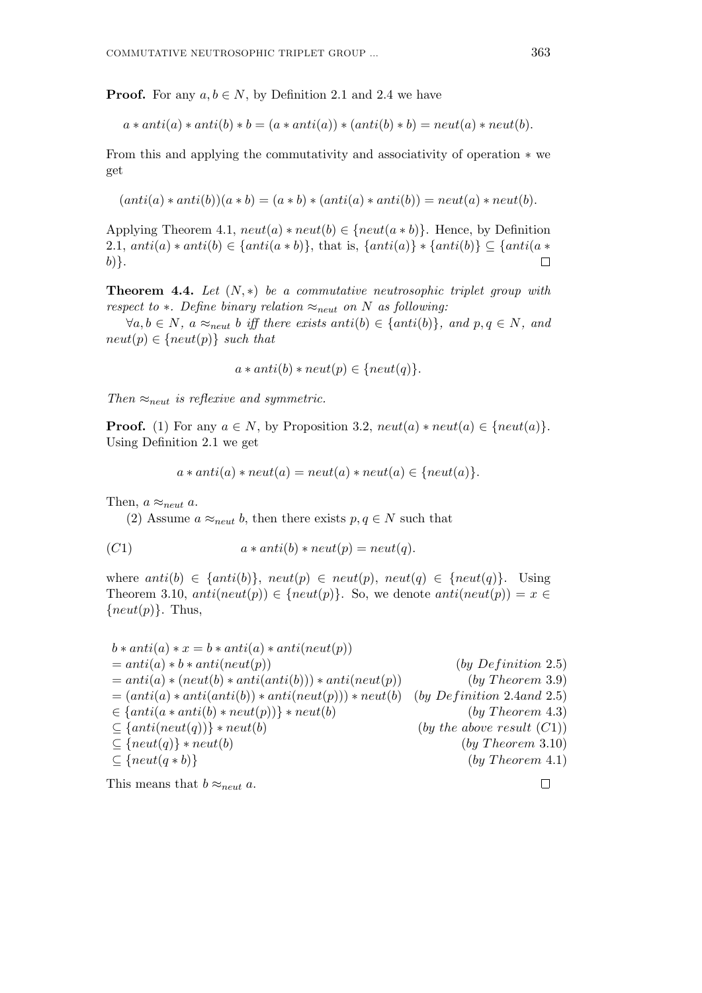**Proof.** For any  $a, b \in N$ , by Definition 2.1 and 2.4 we have

$$
a * anti(a) * anti(b) * b = (a * anti(a)) * (anti(b) * b) = neut(a) * neut(b).
$$

From this and applying the commutativity and associativity of operation *∗* we get

$$
(anti(a) * anti(b))(a * b) = (a * b) * (anti(a) * anti(b)) = neutr(a) * neutr(b).
$$

Applying Theorem 4.1,  $neut(a) * neut(b) \in \{neut(a * b)\}.$  Hence, by Definition 2.1,  $anti(a) * anti(b) \in \{anti(a * b)\},$  that is,  $\{anti(a)\} * \{anti(b)\} \subseteq \{anti(a * b)\}$ *b*)*}*.  $\Box$ 

**Theorem 4.4.** *Let* (*N, ∗*) *be a commutative neutrosophic triplet group with respect to*  $*$ *. Define binary relation*  $\approx_{\text{neut}}$  *on N as following:* 

*∀a*, *b*  $\in$  *N, a*  $\approx$ <sub>*neut*</sub> *b iff there exists anti*(*b*)  $\in$  {*anti*(*b*)}*, and p, q*  $\in$  *N, and*  $neut(p) \in \{neut(p)\}$  *such that* 

$$
a * anti(b) * neut(p) \in \{neut(q)\}.
$$

*Then ≈neut is reflexive and symmetric.*

**Proof.** (1) For any  $a \in N$ , by Proposition 3.2,  $neut(a) * neut(a) \in \{neut(a)\}$ . Using Definition 2.1 we get

$$
a * anti(a) * neut(a) = neut(a) * neut(a) \in \{neut(a)\}.
$$

Then,  $a \approx_{neut} a$ .

(2) Assume  $a \approx_{neut} b$ , then there exists  $p, q \in N$  such that

$$
(C1) \t a * anti(b) * neut(p) = neut(q).
$$

where  $anti(b) \in \{anti(b)\}, \, neut(p) \in neut(p), \, neut(q) \in \{neu(tq)\}.$  Using Theorem 3.10,  $anti(new(p)) \in \{neu(p)\}$ . So, we denote  $anti(new(p)) = x \in$ *{neut*(*p*)*}*. Thus,

$$
b * anti(a) * x = b * anti(a) * anti(newt(p))
$$
\n
$$
= anti(a) * (neut(b) * anti(anti(b))) * anti(newt(p))
$$
\n
$$
= (anti(a) * anti(anti(b)) * anti(newt(p))) * anti( {neut(p))
$$
\n
$$
= (anti(a) * anti(anti(b)) * anti(newt(p))) * neutt(b)
$$
\n
$$
= {anti(a * anti(b) * neutt(p))) * neutt(b)}
$$
\n
$$
= {anti(neut(a * anti(b) * neutt(p))) * neutt(b)}
$$
\n
$$
= {anti(neut(q))} * neutt(b)
$$
\n
$$
= {neut(q) } * neutt(b)
$$
\n
$$
= {neut(q * b)}
$$
\n
$$
= {neut(q * b)}
$$
\n
$$
= {neut(q * b)}
$$
\n
$$
= {neut(q * b)}
$$
\n
$$
= {neut(q * b)}
$$
\n
$$
= {neut(q * b)}
$$
\n
$$
= {neut(q * b)}
$$
\n
$$
= {neut(q * b)}
$$
\n
$$
= {neut(q * b)}
$$
\n
$$
= {neut(q * b)}
$$
\n
$$
= {neut(q * b)}
$$
\n
$$
= {neut(q * b)}
$$
\n
$$
= {neut(q * b)}
$$
\n
$$
= {neut(q * b)}
$$
\n
$$
= {neut(q * b)}
$$
\n
$$
= {neut(q * b)}
$$
\n
$$
= {neut(q * b)}
$$
\n
$$
= {neut(q * b)}
$$
\n
$$
= {neut(q * b)}
$$
\n
$$
= {neut(q * b)}
$$
\n
$$
= {neut(q * b)}
$$
\n
$$
= {neut(q * b)}
$$
\n
$$
= {neut(q * b)}
$$
\n
$$
= {neut(q * b)}
$$
\n
$$
= {neut(q * b)}
$$
\n
$$
= {neut(q * b)}
$$
\n
$$
= {neut(q * b)}
$$
\n
$$
= {neut(q * b)}
$$
\n
$$
= {neut(q * b)}
$$
\n
$$
= {neut(q * b)}
$$
\n
$$
= {neut(q * b)}
$$
\n
$$
= {neut
$$

This means that  $b \approx_{neut} a$ .

 $\Box$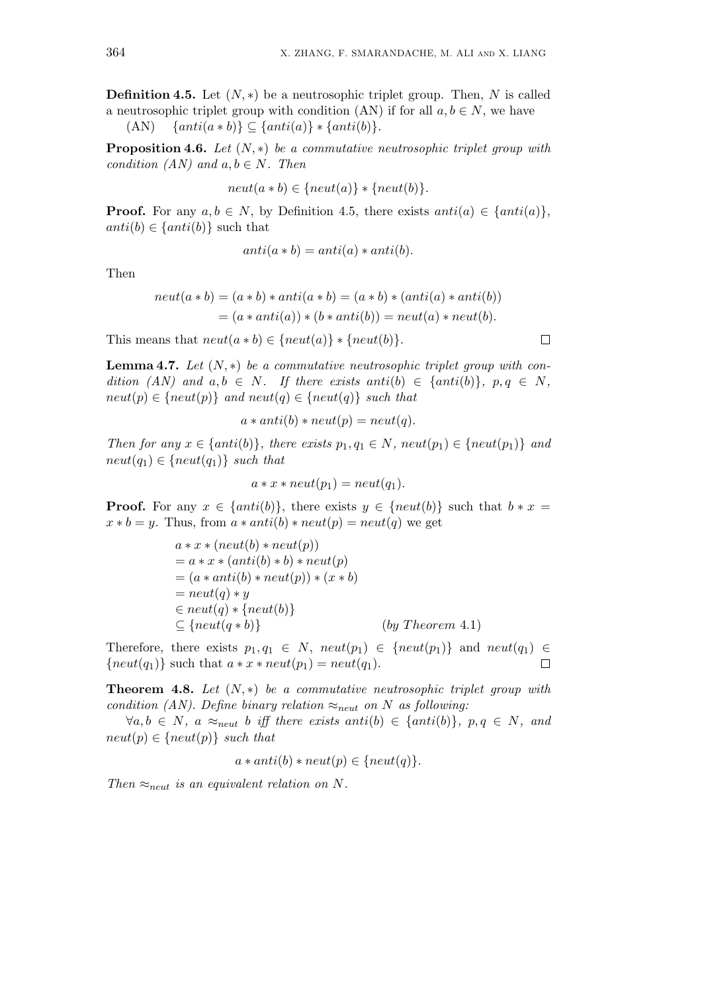$\Box$ 

**Definition 4.5.** Let (*N, ∗*) be a neutrosophic triplet group. Then, *N* is called a neutrosophic triplet group with condition (AN) if for all  $a, b \in N$ , we have

 $\{Anti(a * b)\} \subseteq \{anti(a)\} * \{anti(b)\}.$ 

**Proposition 4.6.** *Let* (*N, ∗*) *be a commutative neutrosophic triplet group with condition (AN)* and  $a, b \in N$ *. Then* 

$$
neut(a * b) \in \{neut(a)\} * \{neut(b)\}.
$$

**Proof.** For any  $a, b \in N$ , by Definition 4.5, there exists  $anti(a) \in \{anti(a)\}\,$ ,  $anti(b) \in \{anti(b)\}$  such that

$$
anti(a * b) = anti(a) * anti(b).
$$

Then

$$
neut(a * b) = (a * b) * anti(a * b) = (a * b) * (anti(a) * anti(b))
$$
  
= (a \* anti(a)) \* (b \* anti(b)) = neutr(a) \* neut(b).

This means that  $neut(a * b) \in \{neut(a)\} * \{neut(b)\}.$ 

**Lemma 4.7.** *Let* (*N, ∗*) *be a commutative neutrosophic triplet group with condition*  $(AN)$  *and*  $a, b \in N$ *. If there exists anti* $(b) \in \{anti(b)\}, p, q \in N$ *,*  $neut(p) \in \{neut(p)\}$  *and*  $neut(q) \in \{neut(q)\}$  *such that* 

$$
a * anti(b) * neut(p) = neut(q).
$$

*Then for any*  $x \in \{anti(b)\},$  *there exists*  $p_1, q_1 \in N$ *, neut* $(p_1) \in \{ne(p_1)\}$  *and*  $neut(q_1) \in \{neut(q_1)\}$  *such that* 

$$
a * x * neut(p_1) = neut(q_1).
$$

**Proof.** For any  $x \in \{anti(b)\},\$  there exists  $y \in \{ne(b)\}\$  such that  $b * x =$  $x * b = y$ . Thus, from  $a * anti(b) * neut(p) = neut(q)$  we get

$$
a * x * (neut(b) * neut(p))
$$
  
=  $a * x * (anti(b) * b) * neut(p)$   
=  $(a * anti(b) * neut(p)) * (x * b)$   
=  $neut(q) * y$   
 $\in neut(q) * {neut(b)}$   
 $\subseteq {neut(q * b)}$  (by Theorem 4.1)

Therefore, there exists  $p_1, q_1 \in N$ ,  $neut(p_1) \in \{neut(p_1)\}$  and  $neut(q_1) \in$  ${neut(q_1)}$  such that  $a * x * neut(p_1) = neut(q_1)$ .  $\Box$ 

**Theorem 4.8.** *Let* (*N, ∗*) *be a commutative neutrosophic triplet group with condition (AN). Define binary relation*  $\approx_{\text{neut}}$  *on N as following:* 

*∀a*, *b*  $\in$  *N, a*  $\approx$ <sub>*neut*</sub> *b iff there exists anti*(*b*)  $\in$  {*anti*(*b*)}*, p*, *q*  $\in$  *N, and*  $neut(p) \in \{neut(p)\}$  *such that* 

 $a * anti(b) * neut(p) \in \{neu(t(q)\}.$ 

*Then*  $\approx$ <sub>*neut*</sub> *is an equivalent relation on N.*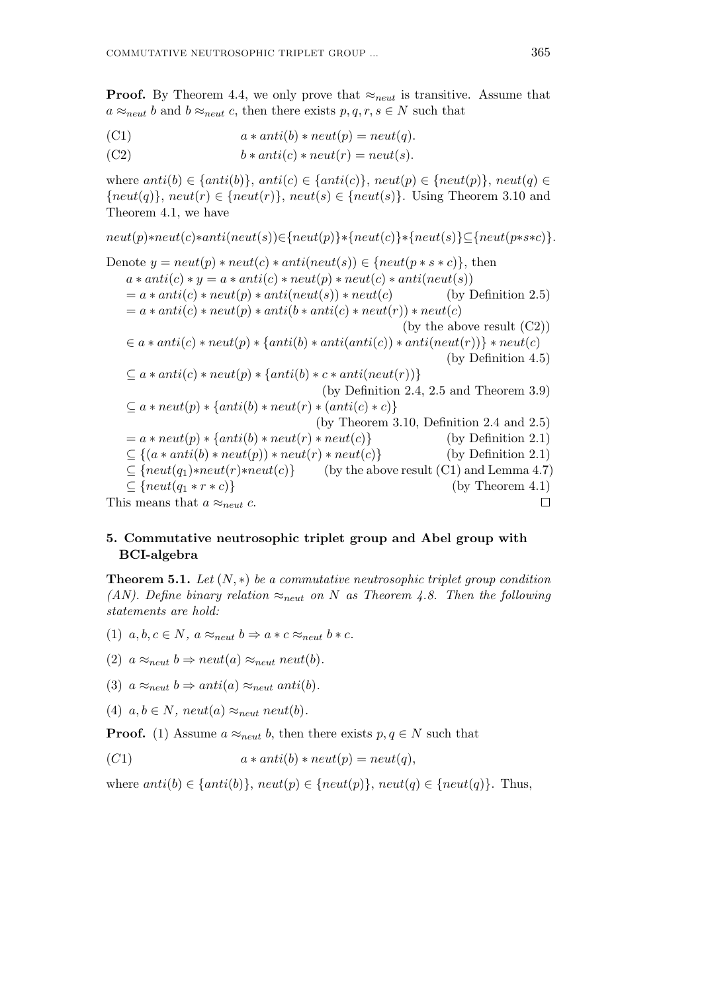**Proof.** By Theorem 4.4, we only prove that *≈neut* is transitive. Assume that  $a \approx_{neut} b$  and  $b \approx_{neut} c$ , then there exists  $p, q, r, s \in N$  such that

(C1) 
$$
a * anti(b) * neut(p) = neut(q).
$$

(C2)  $b * antic) * neut(r) = neut(s).$ 

where  $anti(b) \in \{anti(b)\}, anti(c) \in \{anti(c)\}, neutr(p) \in \{neut(p)\}, neutr(p) \in \{neut(q)\}$  ${ \{neut(q)\}$ ,  $neut(r) \in { \{neut(r)\} }$ ,  $neut(s) \in { \{neut(s)\} }$ . Using Theorem 3.10 and Theorem 4.1, we have

 $neut(p)*neut(c)*anti(neut(s)) \in \{neut(p)\}\{neut(c)\}\{neut(s)\}\subset \{neut(p)*s*c\}.$ Denote  $y = neut(p) * neut(c) * anti(neut(s)) \in \{neu(p) * s * c\}$ , then  $a * anti(c) * y = a * anti(c) * neutr(p) * neutr(c) * anti(ncut(s))$  $= a * anti(c) * neutr(p) * anti(neut(s)) * neutr(c)$  (by Definition 2.5)  $= a * anti(c) * neut(p) * anti(b * anti(c) * neut(r)) * neut(c)$ (by the above result (C2))  $\in$  a \* anti(c) \* neut(p) \* {anti(b) \* anti(anti(c)) \* anti(neut(r))} \* neut(c) (by Definition 4.5)  $\subseteq$  *a* \* *anti*(*c*) \* *neut*(*p*) \* { *anti*(*b*) \* *c* \* *anti*(*neut*(*r*))} (by Definition 2.4, 2.5 and Theorem 3.9)  $\subset$  *a* \* *neut*(*p*) \* {*anti*(*b*) \* *neut*(*r*) \* (*anti*(*c*) \* *c*)} (by Theorem 3.10, Definition 2.4 and 2.5)  $= a * \text{neut}(p) * \{\text{anti}(b) * \text{neut}(r) * \text{neut}(c)\}\$  (by Definition 2.1)  $\subseteq$  { $(a * anti(b) * neut(p) * neut(r) * neut(c)$ } (by Definition 2.1)  $\subseteq$  { $neut(q_1)*neut(r)*neut(c)$ } (by the above result (C1) and Lemma 4.7) *⊆ {neut*(*q*<sup>1</sup> *∗ r ∗ c*)*}* (by Theorem 4.1) This means that  $a \approx_{neut} c$ .  $\Box$ 

# **5. Commutative neutrosophic triplet group and Abel group with BCI-algebra**

**Theorem 5.1.** Let  $(N, *)$  be a commutative neutrosophic triplet group condition *(AN). Define binary relation ≈neut on N as Theorem 4.8. Then the following statements are hold:*

- (1)  $a, b, c \in N$ ,  $a \approx_{neut} b \Rightarrow a * c \approx_{neut} b * c$ .
- (2)  $a \approx_{neut} b \Rightarrow neut(a) \approx_{neut} neut(b)$ .
- (3)  $a \approx_{neut} b \Rightarrow anti(a) \approx_{neut} anti(b)$ .
- (4)  $a, b \in N$ ,  $neut(a) \approx_{neut} neut(b)$ .

**Proof.** (1) Assume  $a \approx_{\text{neut}} b$ , then there exists  $p, q \in N$  such that

(*C*1)  $a * anti(b) * neutr(p) = neutr(q)$ ,

where  $anti(b) \in \{anti(b)\}, neutr(p) \in \{neu(t)p\}, neutr(p) \in \{neu(tq) \in \{neu(tq)\}.$  Thus,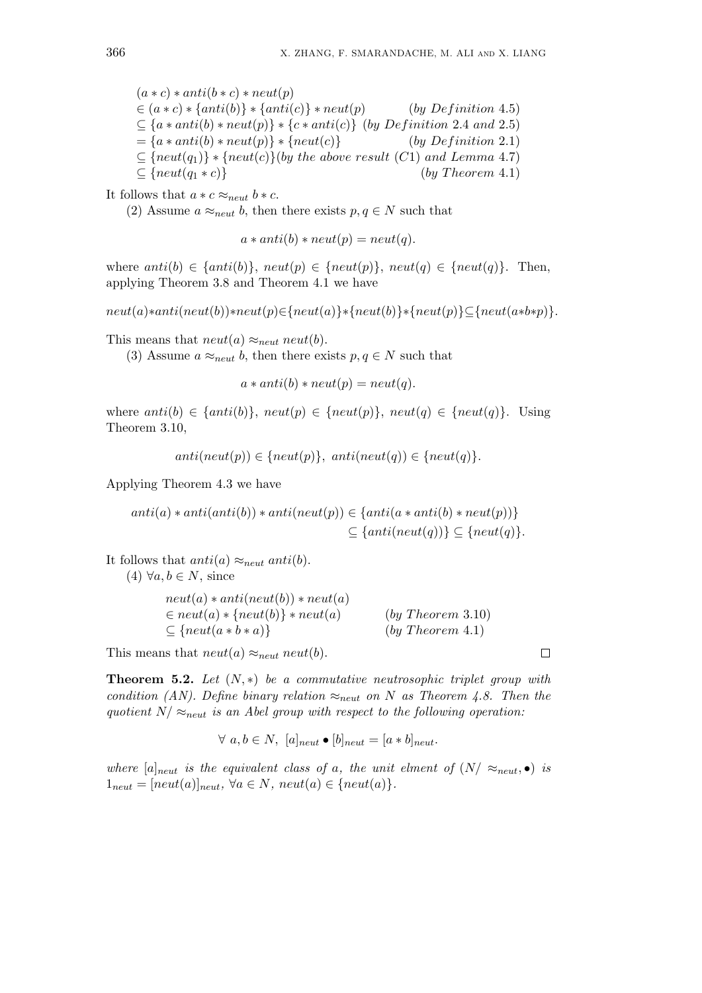$(a * c) * anti(b * c) * neutr(p)$  $\in$   $(a * c) * \{anti(b)\} * \{anti(c)\} * neut(p)$  (*by Definition* 4.5)  $\subseteq$   $\{a * \text{anti}(b) * \text{neut}(p)\} * \{c * \text{anti}(c)\}$  (*by Definition* 2.4 *and* 2.5)  $= {a * anti(b) * neut(p)} * {neut(c)}$  (*by Definition* 2*.*1)  $\subseteq$  { $neut(q_1)$ } \* { $neut(c)$ }(*by the above result* (*C*1) *and Lemma* 4.7)  $\subseteq$  { $neut(q_1 * c)$ } (*by Theorem 4.1*)

It follows that  $a * c \approx_{\text{neut}} b * c$ .

(2) Assume  $a \approx_{neut} b$ , then there exists  $p, q \in N$  such that

 $a * anti(b) * neut(p) = neut(q)$ .

where  $anti(b) \in \{anti(b)\}, \, neut(p) \in \{neut(p)\}, \, neut(q) \in \{neut(q)\}.$  Then, applying Theorem 3.8 and Theorem 4.1 we have

 $neut(a)*anti(new(b))*neut(p) \in \{neut(a)\}\times \{neut(b)\}\times \{neut(p)\}\subseteq \{neut(a*b*p)\}.$ 

This means that  $neut(a) \approx_{neut} neut(b)$ .

(3) Assume  $a \approx_{neut} b$ , then there exists  $p, q \in N$  such that

 $a * anti(b) * neut(p) = neut(q).$ 

where  $anti(b) \in \{anti(b)\}, \, neut(p) \in \{neu(t)p\}, \, neut(q) \in \{neu(tq)\}.$  Using Theorem 3.10,

 $anti(neut(p)) \in \{neut(p)\}, \ antif(neut(q)) \in \{neut(q)\}.$ 

Applying Theorem 4.3 we have

$$
anti(a) * anti(anti(b)) * anti(neut(p)) \in \{anti(a * anti(b) * neut(p))\}
$$
  

$$
\subseteq \{anti(neut(q))\} \subseteq \{neut(q)\}.
$$

It follows that  $anti(a) \approx_{neut} anti(b)$ .

 $(4) \ \forall a, b \in N$ , since

| $neut(a) * anti(newt(b)) * neut(a)$   |                   |
|---------------------------------------|-------------------|
| $\in neut(a) * \{neut(b)\} * neut(a)$ | (by Theorem 3.10) |
| $\subseteq$ {neut(a * b * a)}         | (by Theorem 4.1)  |

This means that  $neut(a) \approx_{neut} neut(b)$ .

**Theorem 5.2.** *Let* (*N, ∗*) *be a commutative neutrosophic triplet group with condition (AN). Define binary relation*  $\approx_{neut}$  *on N as Theorem 4.8. Then the quotient*  $N/\approx_{neut}$  *is an Abel group with respect to the following operation:* 

$$
\forall a, b \in N, [a]_{neut} \bullet [b]_{neut} = [a * b]_{neut}.
$$

*where*  $[a]_{n \in \mathbb{N}}$  *is the equivalent class of a, the unit elment of*  $(N | \approx_{next}, \bullet)$  *is*  $1_{neut} = [neut(a)]_{neut}, \forall a \in N, neut(a) \in \{neut(a)\}.$ 

 $\Box$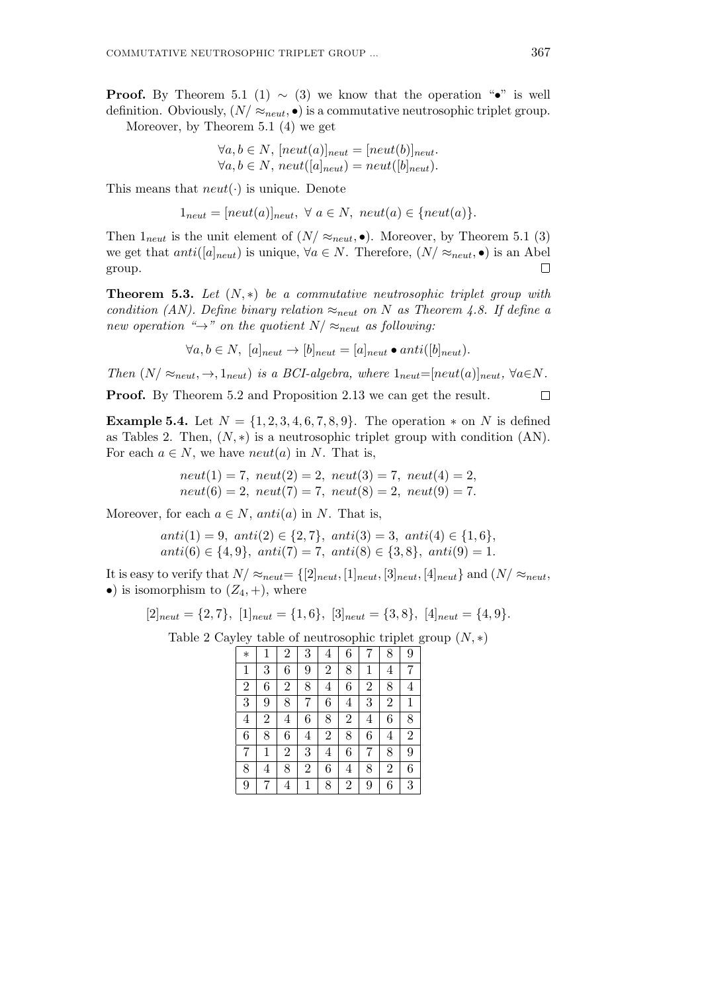**Proof.** By Theorem 5.1 (1)  $\sim$  (3) we know that the operation " $\bullet$ " is well definition. Obviously,  $(N / \approx_{neut}, \bullet)$  is a commutative neutrosophic triplet group. Moreover, by Theorem 5.1 (4) we get

> $∀a, b ∈ N$ ,  $[neut(a)]_{neut} = [neut(b)]_{neut}$ .  $\forall a, b \in N$ ,  $neut([a]_{neut}) = neut([b]_{neut}).$

This means that  $neut(\cdot)$  is unique. Denote

 $1_{neut} = [neut(a)]_{neut}, \forall a \in N, neut(a) \in \{neut(a)\}.$ 

Then  $1_{neut}$  is the unit element of  $(N / \approx_{neut} \bullet)$ . Moreover, by Theorem 5.1 (3) we get that  $anti([a]_{neut})$  is unique,  $\forall a \in N$ . Therefore,  $(N / \approx_{neut}, \bullet)$  is an Abel group.  $\Box$ 

**Theorem 5.3.** *Let* (*N, ∗*) *be a commutative neutrosophic triplet group with condition (AN). Define binary relation*  $\approx_{neut}$  *on N as Theorem 4.8. If define a new operation* " $\rightarrow$ " *on the quotient*  $N / \approx_{\text{neut}}$  *as following:* 

$$
\forall a, b \in N, \ [a]_{neut} \rightarrow [b]_{neut} = [a]_{neut} \bullet anti([b]_{neut}).
$$

*Then*  $(N/\approx_{neut}, \rightarrow, 1_{neut})$  *is a BCI-algebra, where*  $1_{neut}=[neut(a)]_{neut}$ ,  $\forall a \in N$ *.* 

**Proof.** By Theorem 5.2 and Proposition 2.13 we can get the result.  $\Box$ 

**Example 5.4.** Let  $N = \{1, 2, 3, 4, 6, 7, 8, 9\}$ . The operation  $*$  on  $N$  is defined as Tables 2. Then,  $(N, *)$  is a neutrosophic triplet group with condition  $(AN)$ . For each  $a \in N$ , we have  $neut(a)$  in *N*. That is,

$$
neut(1) = 7
$$
,  $neut(2) = 2$ ,  $neut(3) = 7$ ,  $neut(4) = 2$ ,  
\n $neut(6) = 2$ ,  $neut(7) = 7$ ,  $neut(8) = 2$ ,  $neut(9) = 7$ .

Moreover, for each  $a \in N$ , *anti*(*a*) in *N*. That is,

$$
anti(1) = 9, anti(2) \in \{2, 7\}, anti(3) = 3, anti(4) \in \{1, 6\},
$$
  
 $anti(6) \in \{4, 9\}, anti(7) = 7, anti(8) \in \{3, 8\}, anti(9) = 1.$ 

It is easy to verify that  $N/\approx_{neut}$  =  $\{[2]_{neut}, [1]_{neut}, [3]_{neut}, [4]_{neut}\}$  and  $(N/\approx_{neut}$ •) is isomorphism to  $(Z_4, +)$ , where

$$
[2]_{neut} = \{2, 7\}, [1]_{neut} = \{1, 6\}, [3]_{neut} = \{3, 8\}, [4]_{neut} = \{4, 9\}.
$$

Table 2 Cayley table of neutrosophic triplet group (*N, ∗*)

| $\ast$         | $\mathbf 1$    | $\overline{2}$ | 3              | 4              | 6              | 7              | 8              | 9              |
|----------------|----------------|----------------|----------------|----------------|----------------|----------------|----------------|----------------|
| $\mathbf{1}$   | 3              | 6              | 9              | $\overline{2}$ | 8              | $\mathbf{1}$   | 4              | 7              |
| $\overline{2}$ | 6              | $\overline{2}$ | 8              | $\overline{4}$ | 6              | $\overline{2}$ | 8              | 4              |
| 3              | 9              | 8              | 7              | 6              | 4              | 3              | $\overline{2}$ | 1              |
| $\overline{4}$ | $\overline{2}$ | $\overline{4}$ | 6              | 8              | $\overline{2}$ | 4              | 6              | 8              |
| 6              | 8              | 6              | 4              | $\overline{2}$ | 8              | 6              | 4              | $\overline{2}$ |
| 7              | 1              | $\overline{2}$ | 3              | $\overline{4}$ | 6              | 7              | 8              | 9              |
| 8              | 4              | 8              | $\overline{2}$ | 6              | $\sqrt{4}$     | 8              | $\overline{2}$ | 6              |
| 9              | 7              | $\overline{4}$ | 1              | 8              | $\overline{2}$ | 9              | 6              | 3              |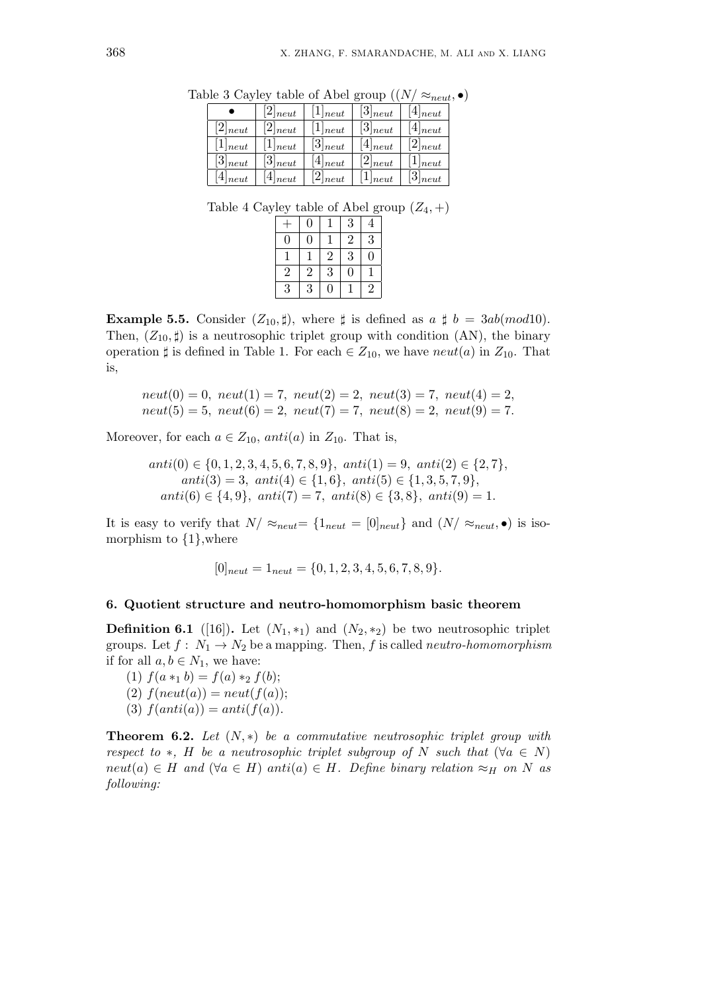|              | $[2]_{neut}$ | $[1]_{neut}$ | $[3]_{neut}$ | $[4]_{neut}$ |
|--------------|--------------|--------------|--------------|--------------|
| $[2]_{neut}$ | $[2]_{neut}$ | $[1]_{neut}$ | $[3]_{neut}$ | $[4]_{neut}$ |
| $[1]_{neut}$ | $[1]_{neut}$ | $[3]_{neut}$ | $[4]_{neut}$ | $[2]_{neut}$ |
| $[3]_{neut}$ | $[3]_{neut}$ | $[4]_{neut}$ | $[2]_{neut}$ | $[1]_{neut}$ |
| $[4]_{neut}$ | $[4]_{neut}$ | $[2]_{neut}$ | $[1]_{neut}$ | $[3]_{neut}$ |

Table 3 Cayley table of Abel group  $((N/\approx_{neut}, \bullet))$ 

Table 4 Cayley table of Abel group  $(Z_4, +)$ 

|                |                |                |                | C              |
|----------------|----------------|----------------|----------------|----------------|
|                | $\overline{0}$ |                | 3              | 4              |
| $\overline{0}$ | $\overline{0}$ |                | $\overline{2}$ | $\overline{3}$ |
|                |                | $\overline{2}$ | 3              | $\overline{0}$ |
| $\,2$          | $\,2$          | 3              | 0              |                |
| 3              | 3              | 0              |                | $\bar{2}$      |

**Example 5.5.** Consider  $(Z_{10}, \sharp)$ , where  $\sharp$  is defined as  $a \sharp b = 3ab (mod 10)$ . Then,  $(Z_{10}, \sharp)$  is a neutrosophic triplet group with condition (AN), the binary operation  $\sharp$  is defined in Table 1. For each  $\in Z_{10}$ , we have *neut*(*a*) in  $Z_{10}$ . That is,

$$
neut(0) = 0
$$
,  $neut(1) = 7$ ,  $neut(2) = 2$ ,  $neut(3) = 7$ ,  $neut(4) = 2$ ,  
\n $neut(5) = 5$ ,  $neut(6) = 2$ ,  $neut(7) = 7$ ,  $neut(8) = 2$ ,  $neut(9) = 7$ .

Moreover, for each  $a \in Z_{10}$ ,  $anti(a)$  in  $Z_{10}$ . That is,

$$
anti(0) \in \{0, 1, 2, 3, 4, 5, 6, 7, 8, 9\}, \ anti(1) = 9, \ anti(2) \in \{2, 7\},\ anti(3) = 3, \ anti(4) \in \{1, 6\}, \ anti(5) \in \{1, 3, 5, 7, 9\},\ anti(6) \in \{4, 9\}, \ anti(7) = 7, \ anti(8) \in \{3, 8\}, \ anti(9) = 1.
$$

It is easy to verify that  $N/\approx_{neut}$  =  $\{1_{neut} = 0|_{neut}\}$  and  $(N/\approx_{neut}, \bullet)$  is isomorphism to *{*1*}*,where

$$
[0]_{neut} = 1_{neut} = \{0, 1, 2, 3, 4, 5, 6, 7, 8, 9\}.
$$

#### **6. Quotient structure and neutro-homomorphism basic theorem**

**Definition 6.1** ([16]). Let  $(N_1, *_1)$  and  $(N_2, *_2)$  be two neutrosophic triplet groups. Let  $f: N_1 \to N_2$  be a mapping. Then,  $f$  is called *neutro-homomorphism* if for all  $a, b \in N_1$ , we have:

(1)  $f(a *_{1} b) = f(a) *_{2} f(b);$  $(2)$   $f(new(a)) = neut(f(a));$ (3)  $f(anti(a)) = anti(f(a)).$ 

**Theorem 6.2.** *Let* (*N, ∗*) *be a commutative neutrosophic triplet group with respect to*  $*$ *, H be a neutrosophic triplet subgroup of N such that* ( $\forall a \in N$ )  $neut(a) \in H$  *and*  $(\forall a \in H)$  *anti*(*a*)  $\in H$ *. Define binary relation*  $\approx_H$  *on N as following:*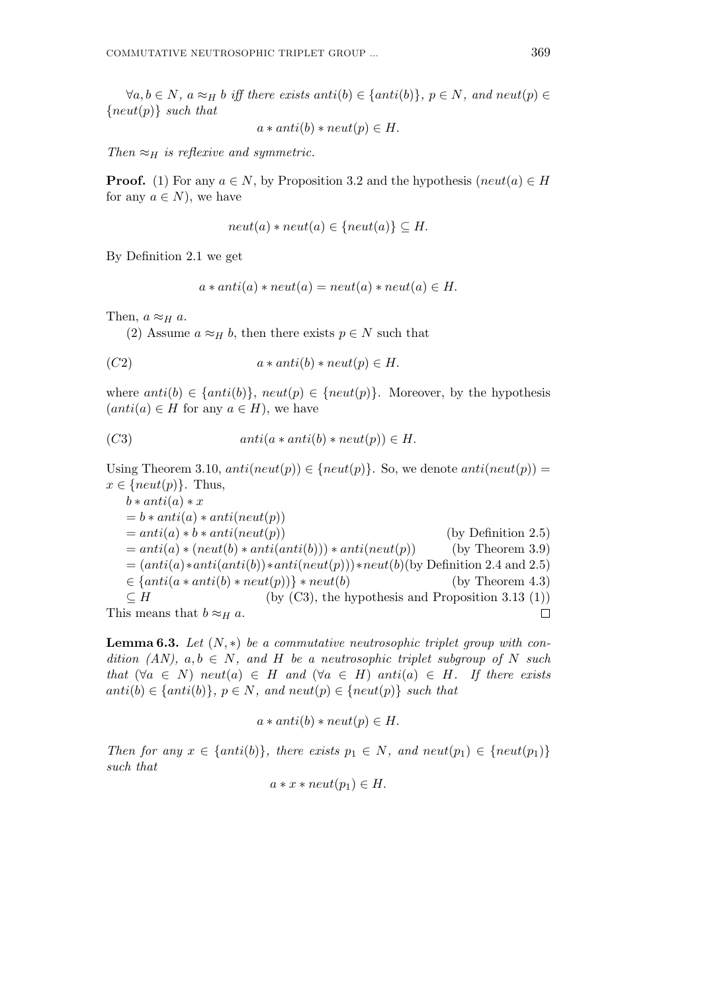$\forall a, b \in N$ ,  $a \approx_H b$  iff there exists anti(b)  $\in$  {anti(b)},  $p \in N$ , and neut(p)  $\in$ *{neut*(*p*)*} such that*

$$
a * anti(b) * neut(p) \in H.
$$

*Then*  $\approx$ *H is reflexive and symmetric.* 

**Proof.** (1) For any  $a \in N$ , by Proposition 3.2 and the hypothesis (*neut*(*a*)  $\in$  *H* for any  $a \in N$ , we have

$$
neut(a) * neut(a) \in \{neut(a)\} \subseteq H.
$$

By Definition 2.1 we get

$$
a * anti(a) * neut(a) = neut(a) * neut(a) \in H.
$$

Then,  $a \approx_H a$ .

(2) Assume  $a \approx_H b$ , then there exists  $p \in N$  such that

$$
(C2) \t a * anti(b) * neut(p) \in H.
$$

where  $anti(b) \in \{anti(b)\}, \, neut(p) \in \{neut(p)\}.$  Moreover, by the hypothesis  $(anti(a) \in H$  for any  $a \in H$ ), we have

$$
(C3) \t\t anti(a*anti(b)*neut(p)) \in H.
$$

Using Theorem 3.10,  $anti(new(p)) \in \{neu(p)\}$ . So, we denote  $anti(new(p)) =$  $x \in \{neut(p)\}\$ . Thus,

 $b * anti(a) * x$  $= b * anti(a) * anti(neut(p))$  $= anti(a) * b * anti(neut(p))$  (by Definition 2.5)  $=$   $anti(a) * (neut(b) * anti(anti(b))) * anti(neut(p))$  (by Theorem 3.9)  $=(anti(a)*anti(anti(b))*anti(neut(p))) *neut(b)(by Definition 2.4 and 2.5)$  $\in$  {*anti*(*a* \* *anti*(*b*) \* *neut*(*p*))} \* *neut*(*b*) (by Theorem 4.3)  $\subseteq$  *H* (by (C3), the hypothesis and Proposition 3.13 (1)) This means that  $b \approx_H a$ .  $\Box$ 

**Lemma 6.3.** Let  $(N,*)$  be a commutative neutrosophic triplet group with con*dition (AN),*  $a, b \in N$ *, and H be a neutrosophic triplet subgroup of N such that*  $(\forall a \in N)$  *neut*(*a*)  $\in$  *H and*  $(\forall a \in H)$  *anti*(*a*)  $\in$  *H. If there exists anti*(*b*) *∈ {anti*(*b*)*}, p ∈ N, and neut*(*p*) *∈ {neut*(*p*)*} such that*

 $a * anti(b) * neutr(p) \in H$ .

*Then for any*  $x \in \{anti(b)\}\$ *, there exists*  $p_1 \in N$ *, and neut* $(p_1) \in \{ne(p_1)\}\$ *such that*

$$
a * x * \text{neut}(p_1) \in H.
$$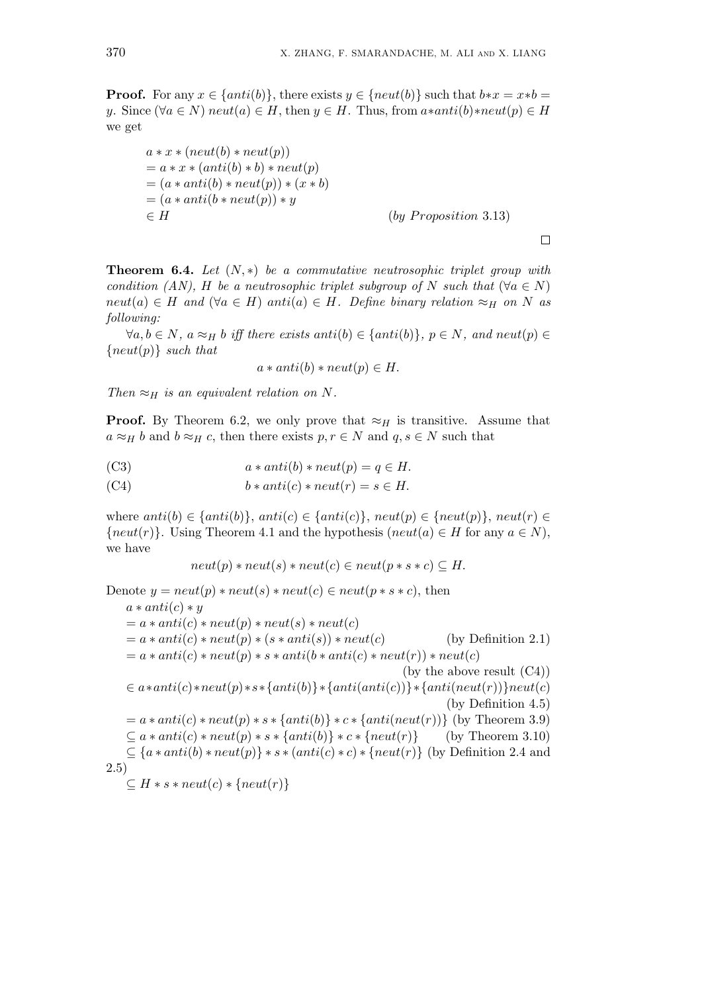**Proof.** For any  $x \in \{anti(b)\},$  there exists  $y \in \{neu(b)\}$  such that  $b*x = x*b$ *y*. Since  $(\forall a \in N)$  *neut*(*a*)  $\in$  *H*, then *y*  $\in$  *H*. Thus, from *a\*anti*(*b*)*\*neut*(*p*)  $\in$  *H* we get

 $a * x * (neut(b) * neut(v))$  $= a * x * (anti(b) * b) * neut(p)$  $=(a * anti(b) * neut(p)) * (x * b)$  $=(a * anti(b * neut(p)) * y)$ *∈ H* (*by P roposition* 3*.*13)

 $\Box$ 

**Theorem 6.4.** *Let* (*N, ∗*) *be a commutative neutrosophic triplet group with condition (AN), H be a neutrosophic triplet subgroup of N such that* ( $\forall a \in N$ )  $neut(a) \in H$  *and*  $(\forall a \in H)$  *anti* $(a) \in H$ *. Define binary relation*  $\approx_H$  *on N as following:*

 $\forall a, b \in N$ ,  $a \approx_H b$  iff there exists anti(b)  $\in$  {anti(b)},  $p \in N$ , and neut(p)  $\in$ *{neut*(*p*)*} such that*

$$
a * anti(b) * neut(p) \in H.
$$

*Then*  $\approx$ *H is an equivalent relation on N.* 

**Proof.** By Theorem 6.2, we only prove that  $\approx$ *H* is transitive. Assume that  $a \approx_H b$  and  $b \approx_H c$ , then there exists  $p, r \in N$  and  $q, s \in N$  such that

(C3) 
$$
a * anti(b) * neut(p) = q \in H.
$$

(C4) 
$$
b * anti(c) * neut(r) = s \in H.
$$

where  $anti(b) \in \{anti(b)\}, anti(c) \in \{anti(c)\}, neutr(p) \in \{neut(p)\}, neutr(p) \in$  ${neut(r)}$ . Using Theorem 4.1 and the hypothesis (*neut*(*a*)  $\in$  *H* for any *a*  $\in$  *N*), we have

$$
neut(p) * neut(s) * neut(c) \in neut(p * s * c) \subseteq H.
$$

Denote  $y = neut(p) * neut(s) * neut(c) \in neut(p * s * c)$ , then  $a * anti(c) * y$  $= a * anti(c) * neut(p) * neut(s) * neut(c)$  $= a * anti(c) * neut(p) * (s * anti(s)) * neut(c)$  (by Definition 2.1)  $= a * anti(c) * neut(p) * s * anti(b * anti(c) * neut(r)) * neut(c)$ (by the above result (C4))  $\in a * anti(c) * neut(p) * s * \{anti(b)\} * \{anti(anti(c))\} * \{anti(neut(r))\} neut(c)$ (by Definition 4.5)  $= a * anti(c) * neut(p) * s * {anti(b)} * c * {anti(neut(r))}$  (by Theorem 3.9)  $\subseteq$  *a* \* *anti*(*c*) \* *neut*(*p*) \* *s* \* {*anti*(*b*)} \* *c* \* {*neut*(*r*)} (by Theorem 3.10) *⊆ {a ∗ anti*(*b*) *∗ neut*(*p*)*} ∗ s ∗* (*anti*(*c*) *∗ c*) *∗ {neut*(*r*)*}* (by Definition 2.4 and 2.5) *⊆ H ∗ s ∗ neut*(*c*) *∗ {neut*(*r*)*}*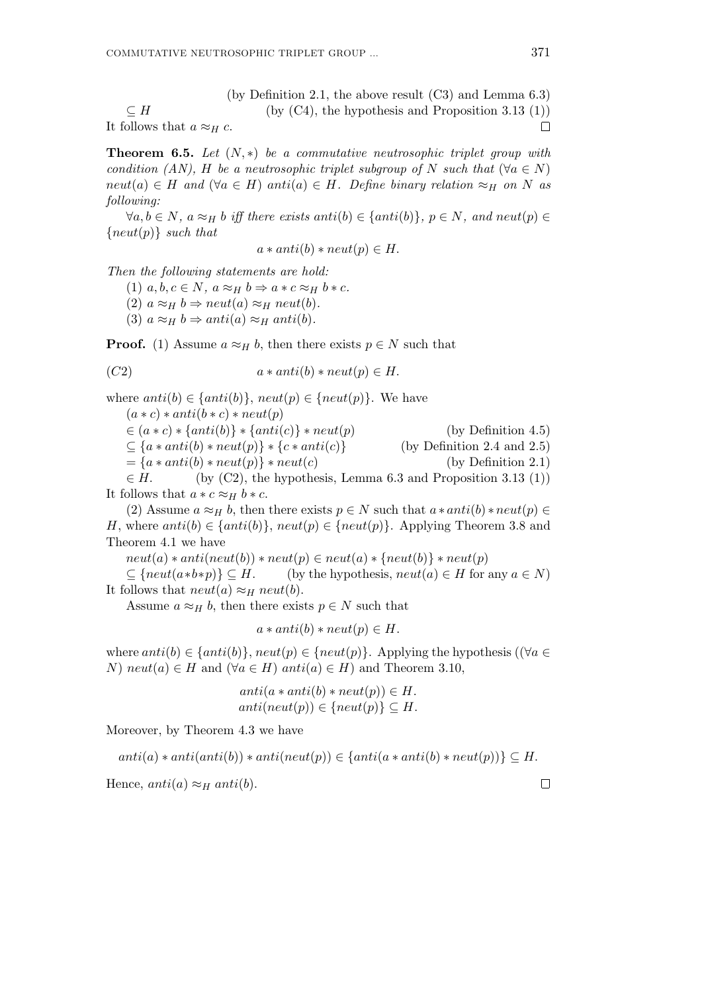(by Definition 2.1, the above result (C3) and Lemma 6.3)  $\subset$  *H* (by (C4), the hypothesis and Proposition 3.13 (1)) It follows that  $a \approx_H c$ .  $\Box$ 

**Theorem 6.5.** *Let* (*N, ∗*) *be a commutative neutrosophic triplet group with condition (AN), H be a neutrosophic triplet subgroup of N such that* ( $\forall a \in N$ )  $neut(a) \in H$  *and*  $(\forall a \in H)$  *anti*(*a*)  $\in H$ *. Define binary relation*  $\approx_H$  *on N as following:*

 $\forall a, b \in N$ ,  $a \approx_H b$  iff there exists anti(b)  $\in$  {anti(b)},  $p \in N$ , and neut(p)  $\in$ *{neut*(*p*)*} such that*

$$
a * anti(b) * neut(p) \in H.
$$

*Then the following statements are hold:*

 $(1)$   $a, b, c \in N$ ,  $a \approx_H b \Rightarrow a * c \approx_H b * c$ .

 $(2)$   $a \approx_H b \Rightarrow neut(a) \approx_H neut(b)$ .

(3)  $a \approx_H b \Rightarrow anti(a) \approx_H anti(b)$ .

**Proof.** (1) Assume  $a \approx_H b$ , then there exists  $p \in N$  such that

$$
(C2) \t a * anti(b) * neut(p) \in H.
$$

where  $anti(b) \in \{anti(b)\}, \, neut(p) \in \{neu(t)p\}.$  We have  $(a * c) * anti(b * c) * neutr(p)$ *∈* (*a ∗ c*) *∗ {anti*(*b*)*} ∗ {anti*(*c*)*} ∗ neut*(*p*) (by Definition 4.5) *⊆ {a ∗ anti*(*b*) *∗ neut*(*p*)*} ∗ {c ∗ anti*(*c*)*}* (by Definition 2.4 and 2.5)  $= {a * anti(b) * neut(p)} * neut(c)$  (by Definition 2.1)  $\in$  *H*. (by (C2), the hypothesis, Lemma 6.3 and Proposition 3.13 (1)) It follows that  $a * c \approx_H b * c$ .

(2) Assume  $a \approx_H b$ , then there exists  $p \in N$  such that  $a * anti(b) * neut(p) \in$ *H*, where  $anti(b) \in \{anti(b)\}, neut(p) \in \{neu(t)p\}.$  Applying Theorem 3.8 and Theorem 4.1 we have

 $neut(a) * anti(neut(b)) * neut(p) \in neut(a) * \{neut(b)\} * neut(p)$ 

 $\subseteq$  { $neut(a * b * p)$ }  $\subseteq$  *H*. (by the hypothesis,  $neut(a) \in$  *H* for any *a*  $\in$  *N*) It follows that  $neut(a) \approx_H neut(b)$ .

Assume  $a \approx_H b$ , then there exists  $p \in N$  such that

$$
a * anti(b) * neut(p) \in H.
$$

where  $anti(b) \in \{anti(b)\}, neut(p) \in \{neu(t)p\}.$  Applying the hypothesis ( $(\forall a \in$ *N*) *neut*(*a*)  $∈$  *H* and ( $∀a ∈ H$ ) *anti*(*a*)  $∈$  *H*) and Theorem 3.10,

$$
anti(a * anti(b) * neut(p)) \in H.
$$
  

$$
anti(newt(p)) \in \{neut(p)\} \subseteq H.
$$

Moreover, by Theorem 4.3 we have

 $anti(a) * anti(anti(b)) * anti(neut(p)) \in \{anti(a * anti(b) * neut(p))\} \subseteq H.$ Hence,  $anti(a) \approx_H anti(b)$ .  $\Box$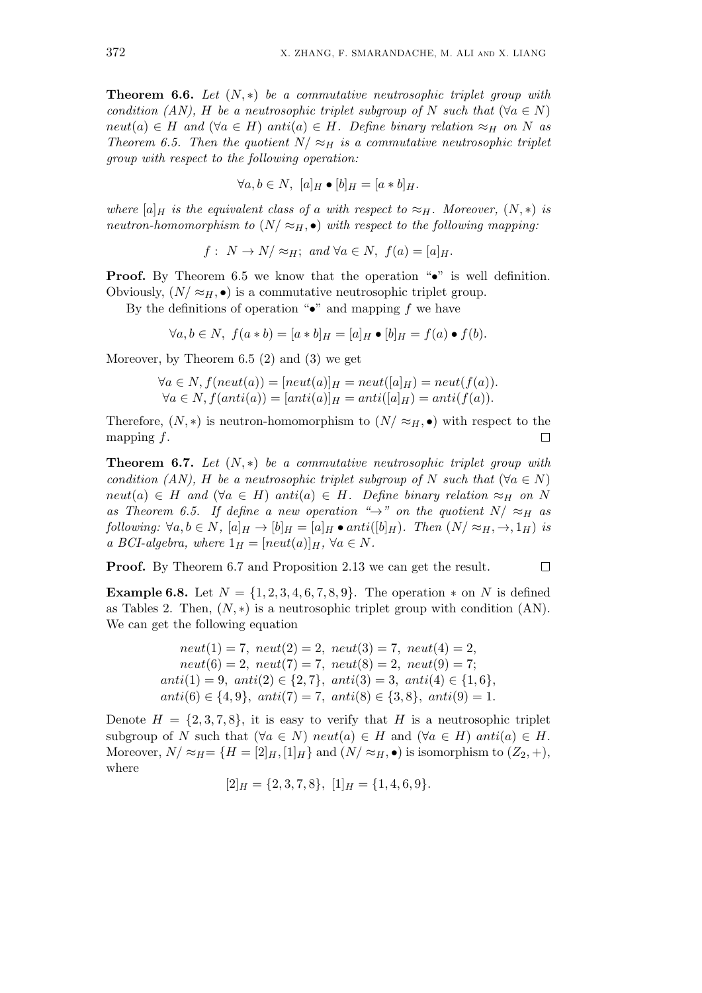**Theorem 6.6.** *Let* (*N, ∗*) *be a commutative neutrosophic triplet group with condition (AN), H be a neutrosophic triplet subgroup of N such that* ( $\forall a \in N$ )  $neut(a) \in H$  *and*  $(\forall a \in H)$  *anti*(*a*)  $\in H$ *. Define binary relation*  $\approx_H$  *on N as Theorem 6.5. Then the quotient*  $N \approx_H$  *is a commutative neutrosophic triplet group with respect to the following operation:*

$$
\forall a, b \in N, \ [a]_H \bullet [b]_H = [a * b]_H.
$$

*where*  $[a]_H$  *is the equivalent class of a with respect to*  $\approx_H$ *. Moreover,*  $(N, *)$  *is neutron-homomorphism to*  $(N / \approx_H, \bullet)$  *with respect to the following mapping:* 

$$
f: N \to N/\approx_H
$$
; and  $\forall a \in N$ ,  $f(a) = [a]_H$ .

**Proof.** By Theorem 6.5 we know that the operation " $\bullet$ " is well definition. Obviously,  $(N \approx_H, \bullet)$  is a commutative neutrosophic triplet group.

By the definitions of operation "*•*" and mapping *f* we have

$$
\forall a, b \in N, \ f(a * b) = [a * b]_H = [a]_H \bullet [b]_H = f(a) \bullet f(b).
$$

Moreover, by Theorem 6.5 (2) and (3) we get

$$
\forall a \in N, f(\text{neut}(a)) = [\text{neut}(a)]_H = \text{neut}([\text{a}]_H) = \text{neut}(f(a)).
$$
  

$$
\forall a \in N, f(\text{anti}(a)) = [\text{anti}(a)]_H = \text{anti}([\text{a}]_H) = \text{anti}(f(a)).
$$

Therefore,  $(N, *)$  is neutron-homomorphism to  $(N / \approx_H, \bullet)$  with respect to the mapping *f*.  $\Box$ 

**Theorem 6.7.** *Let* (*N, ∗*) *be a commutative neutrosophic triplet group with condition (AN), H be a neutrosophic triplet subgroup of N such that* ( $\forall a \in N$ )  $neut(a) \in H$  *and*  $(\forall a \in H)$  *anti* $(a) \in H$ *. Define binary relation*  $\approx_H$  *on N as Theorem 6.5. If define a new operation* " $\rightarrow$ " *on the quotient*  $N/\approx$  *H as* following:  $\forall a, b \in N$ ,  $[a]_H \rightarrow [b]_H = [a]_H \bullet anti([b]_H)$ . Then  $(N/\approx_H, \rightarrow, 1_H)$  is *a BCI-algebra, where*  $1_H = [neut(a)]_H$ ,  $\forall a \in N$ *.* 

**Proof.** By Theorem 6.7 and Proposition 2.13 we can get the result.

**Example 6.8.** Let  $N = \{1, 2, 3, 4, 6, 7, 8, 9\}$ . The operation  $*$  on  $N$  is defined as Tables 2. Then,  $(N, *)$  is a neutrosophic triplet group with condition  $(AN)$ . We can get the following equation

 $\Box$ 

$$
neut(1) = 7, \; neut(2) = 2, \; neut(3) = 7, \; neut(4) = 2,
$$
\n
$$
neut(6) = 2, \; neut(7) = 7, \; neut(8) = 2, \; neut(9) = 7;
$$
\n
$$
anti(1) = 9, \; anti(2) \in \{2, 7\}, \; anti(3) = 3, \; anti(4) \in \{1, 6\},
$$
\n
$$
anti(6) \in \{4, 9\}, \; anti(7) = 7, \; anti(8) \in \{3, 8\}, \; anti(9) = 1.
$$

Denote  $H = \{2, 3, 7, 8\}$ , it is easy to verify that *H* is a neutrosophic triplet subgroup of *N* such that  $(\forall a \in N)$  *neut*(*a*)  $\in H$  and  $(\forall a \in H)$  *anti*(*a*)  $\in H$ . Moreover,  $N \approx H = \{H = [2]_H, [1]_H\}$  and  $(N \approx H, \bullet)$  is isomorphism to  $(Z_2, +),$ where

$$
[2]_H = \{2, 3, 7, 8\}, [1]_H = \{1, 4, 6, 9\}.
$$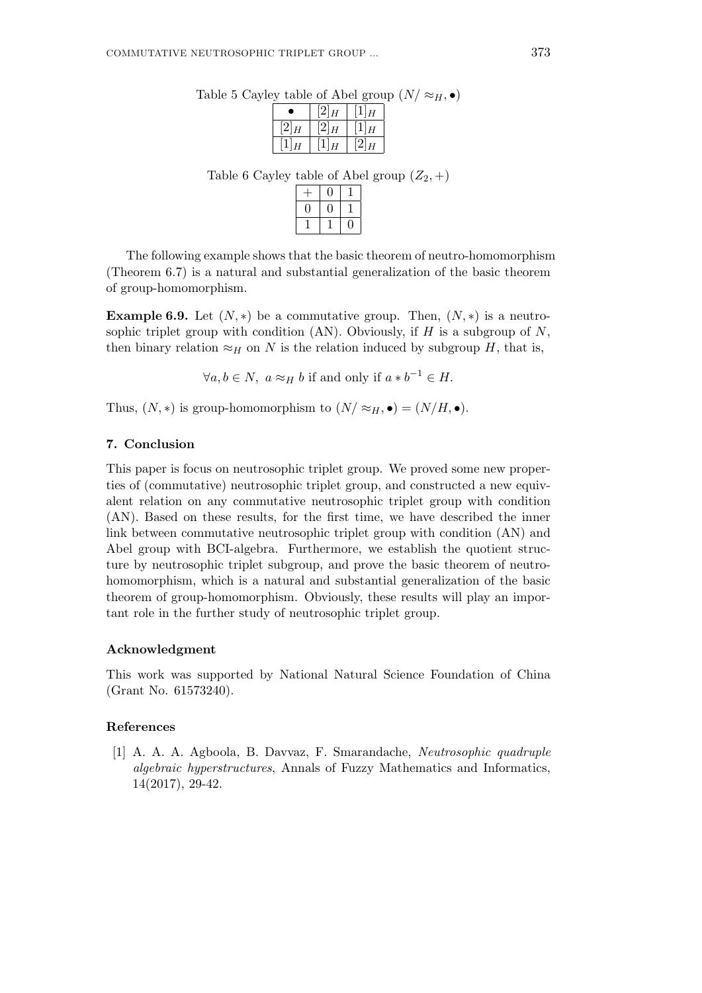|                |          | . .            |
|----------------|----------|----------------|
| c              | $[2]_H$  | $\overline{H}$ |
| [2]<br>H       | [2]<br>H | $\overline{H}$ |
| $\overline{H}$ |          | $\overline{H}$ |

Table 5 Cayley table of Abel group  $(N / \approx_H, \bullet)$ 

Table 6 Cayley table of Abel group  $(Z_2, +)$ 

The following example shows that the basic theorem of neutro-homomorphism (Theorem 6.7) is a natural and substantial generalization of the basic theorem of group-homomorphism.

**Example 6.9.** Let  $(N, *)$  be a commutative group. Then,  $(N, *)$  is a neutrosophic triplet group with condition (AN). Obviously, if *H* is a subgroup of *N*, then binary relation  $\approx$ *H* on *N* is the relation induced by subgroup *H*, that is,

*∀a, b*  $\in$  *N,*  $a \approx$ <sup>*H*</sup> *b* if and only if  $a * b^{-1} \in$  *H.* 

Thus,  $(N, *)$  is group-homomorphism to  $(N / \approx_H, \bullet) = (N / H, \bullet)$ .

#### **7. Conclusion**

This paper is focus on neutrosophic triplet group. We proved some new properties of (commutative) neutrosophic triplet group, and constructed a new equivalent relation on any commutative neutrosophic triplet group with condition (AN). Based on these results, for the first time, we have described the inner link between commutative neutrosophic triplet group with condition (AN) and Abel group with BCI-algebra. Furthermore, we establish the quotient structure by neutrosophic triplet subgroup, and prove the basic theorem of neutrohomomorphism, which is a natural and substantial generalization of the basic theorem of group-homomorphism. Obviously, these results will play an important role in the further study of neutrosophic triplet group.

#### **Acknowledgment**

This work was supported by National Natural Science Foundation of China (Grant No. 61573240).

## **References**

[1] A. A. A. Agboola, B. Davvaz, F. Smarandache, *Neutrosophic quadruple algebraic hyperstructures*, Annals of Fuzzy Mathematics and Informatics, 14(2017), 29-42.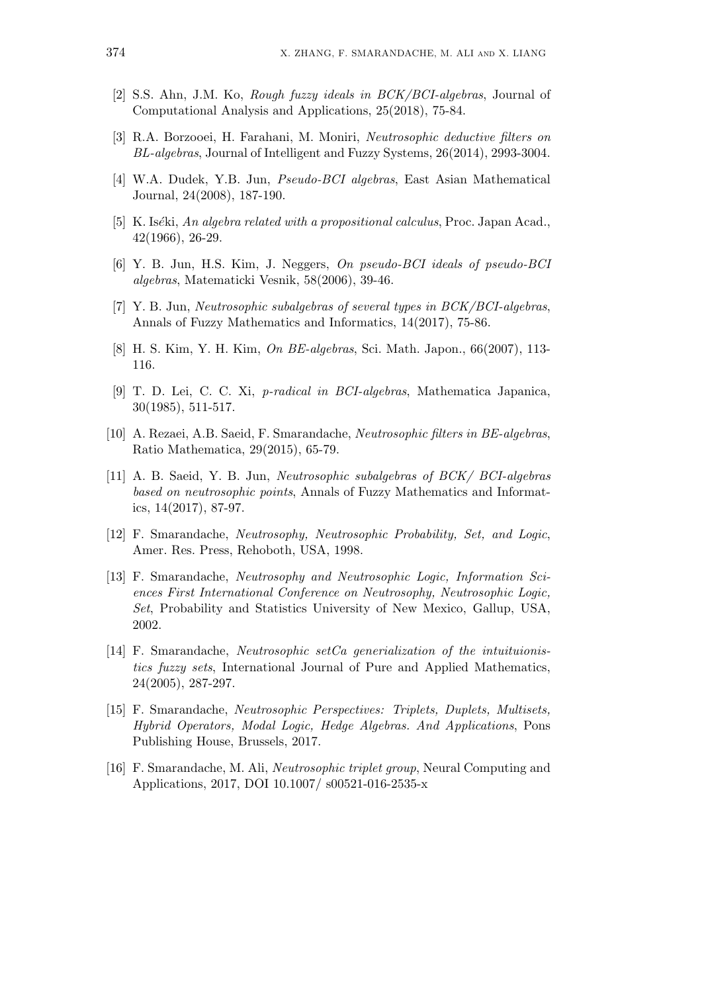- [2] S.S. Ahn, J.M. Ko, *Rough fuzzy ideals in BCK/BCI-algebras*, Journal of Computational Analysis and Applications, 25(2018), 75-84.
- [3] R.A. Borzooei, H. Farahani, M. Moniri, *Neutrosophic deductive filters on BL-algebras*, Journal of Intelligent and Fuzzy Systems, 26(2014), 2993-3004.
- [4] W.A. Dudek, Y.B. Jun, *Pseudo-BCI algebras*, East Asian Mathematical Journal, 24(2008), 187-190.
- [5] K. Is´*e*ki, *An algebra related with a propositional calculus*, Proc. Japan Acad., 42(1966), 26-29.
- [6] Y. B. Jun, H.S. Kim, J. Neggers, *On pseudo-BCI ideals of pseudo-BCI algebras*, Matematicki Vesnik, 58(2006), 39-46.
- [7] Y. B. Jun, *Neutrosophic subalgebras of several types in BCK/BCI-algebras*, Annals of Fuzzy Mathematics and Informatics, 14(2017), 75-86.
- [8] H. S. Kim, Y. H. Kim, *On BE-algebras*, Sci. Math. Japon., 66(2007), 113- 116.
- [9] T. D. Lei, C. C. Xi, *p-radical in BCI-algebras*, Mathematica Japanica, 30(1985), 511-517.
- [10] A. Rezaei, A.B. Saeid, F. Smarandache, *Neutrosophic filters in BE-algebras*, Ratio Mathematica, 29(2015), 65-79.
- [11] A. B. Saeid, Y. B. Jun, *Neutrosophic subalgebras of BCK/ BCI-algebras based on neutrosophic points*, Annals of Fuzzy Mathematics and Informatics, 14(2017), 87-97.
- [12] F. Smarandache, *Neutrosophy, Neutrosophic Probability, Set, and Logic*, Amer. Res. Press, Rehoboth, USA, 1998.
- [13] F. Smarandache, *Neutrosophy and Neutrosophic Logic, Information Sciences First International Conference on Neutrosophy, Neutrosophic Logic, Set*, Probability and Statistics University of New Mexico, Gallup, USA, 2002.
- [14] F. Smarandache, *Neutrosophic setCa generialization of the intuituionistics fuzzy sets*, International Journal of Pure and Applied Mathematics, 24(2005), 287-297.
- [15] F. Smarandache, *Neutrosophic Perspectives: Triplets, Duplets, Multisets, Hybrid Operators, Modal Logic, Hedge Algebras. And Applications*, Pons Publishing House, Brussels, 2017.
- [16] F. Smarandache, M. Ali, *Neutrosophic triplet group*, Neural Computing and Applications, 2017, DOI 10.1007/ s00521-016-2535-x